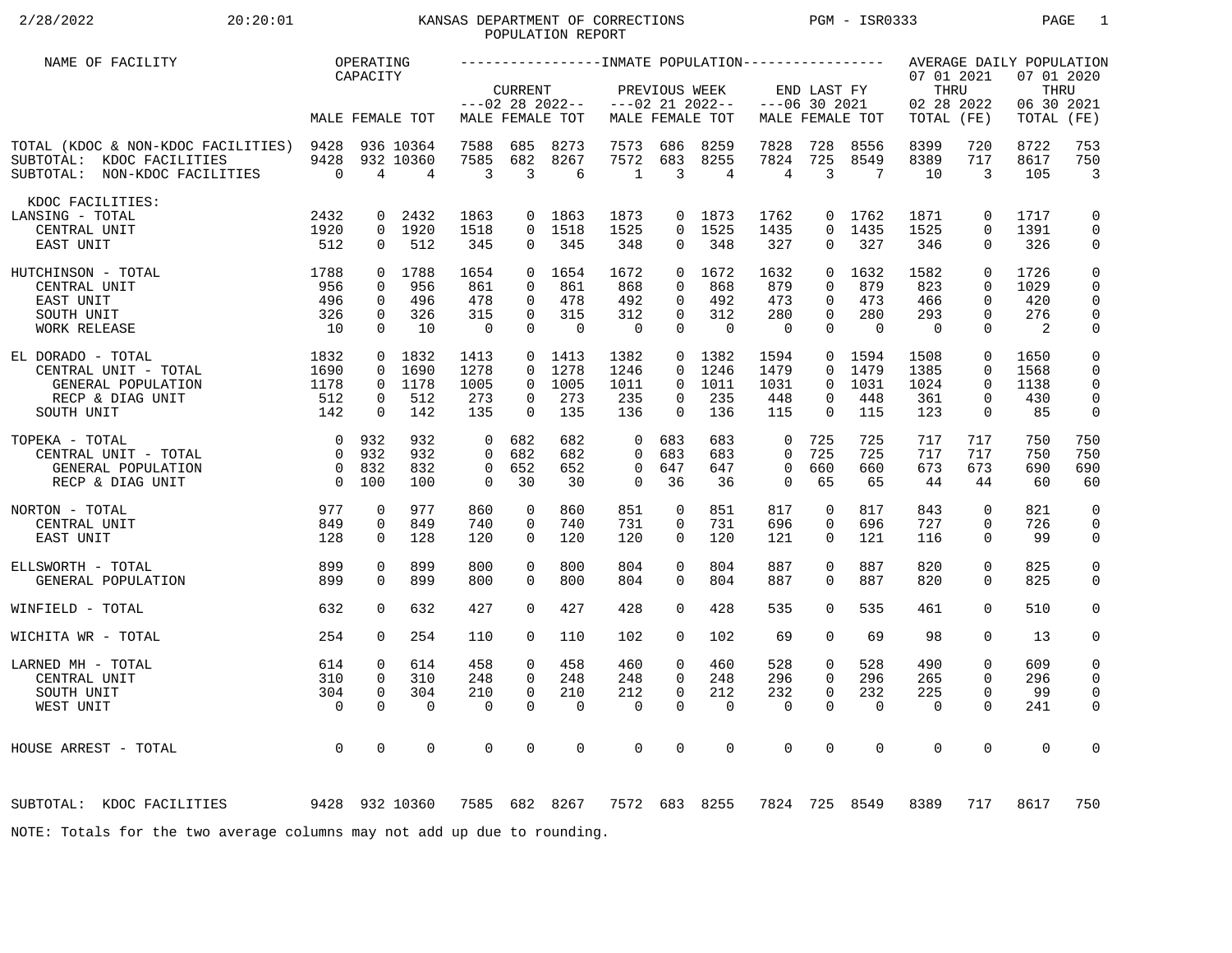# 2/28/2022 20:20:01 KANSAS DEPARTMENT OF CORRECTIONS PGM - ISR0333 PAGE 1 POPULATION REPORT

| NAME OF FACILITY                                                                                      |                                                                | OPERATING<br>CAPACITY                                 |                                      |                                                 |                                                 |                                         |                                                 |                                                    |                                         |                                                 |                                                   |                                       | 07 01 2021                            |                                                             | AVERAGE DAILY POPULATION<br>07 01 2020 |                                                                |
|-------------------------------------------------------------------------------------------------------|----------------------------------------------------------------|-------------------------------------------------------|--------------------------------------|-------------------------------------------------|-------------------------------------------------|-----------------------------------------|-------------------------------------------------|----------------------------------------------------|-----------------------------------------|-------------------------------------------------|---------------------------------------------------|---------------------------------------|---------------------------------------|-------------------------------------------------------------|----------------------------------------|----------------------------------------------------------------|
|                                                                                                       |                                                                |                                                       | MALE FEMALE TOT                      |                                                 | <b>CURRENT</b>                                  | $---02$ 28 2022--<br>MALE FEMALE TOT    |                                                 | PREVIOUS WEEK                                      | $---02$ 21 2022--<br>MALE FEMALE TOT    |                                                 | END LAST FY<br>$---06$ 30 2021                    | MALE FEMALE TOT                       | THRU<br>02 28 2022<br>TOTAL (FE)      |                                                             | THRU<br>06 30 2021<br>TOTAL            | (FE)                                                           |
| TOTAL (KDOC & NON-KDOC FACILITIES) 9428<br>SUBTOTAL: KDOC FACILITIES<br>SUBTOTAL: NON-KDOC FACILITIES | 9428<br>$\overline{0}$                                         | 4                                                     | 936 10364<br>932 10360<br>4          | 7588<br>7585<br>3                               | 685<br>682<br>3                                 | 8273<br>8267<br>6                       | 7573<br>7572<br>$\mathbf{1}$                    | 686<br>683<br>$\overline{3}$                       | 8259<br>8255<br>4                       | 7828<br>7824<br>$\overline{4}$                  | 728<br>725<br>3                                   | 8556<br>8549<br>7                     | 8399<br>8389<br>10                    | 720<br>717<br>3                                             | 8722<br>8617<br>105                    | 753<br>750<br>$\overline{3}$                                   |
| KDOC FACILITIES:<br>LANSING - TOTAL<br>CENTRAL UNIT<br>EAST UNIT                                      | 2432<br>1920<br>512                                            | 0<br>$\Omega$                                         | 2432<br>0 1920<br>512                | 1863<br>1518<br>345                             | $\Omega$<br>$\Omega$                            | 0 1863<br>1518<br>345                   | 1873<br>1525<br>348                             | $\Omega$<br>$\Omega$                               | 0 1873<br>1525<br>348                   | 1762<br>1435<br>327                             | $\Omega$<br>$\Omega$                              | $0$ 1762<br>1435<br>327               | 1871<br>1525<br>346                   | 0<br>$\Omega$<br>$\Omega$                                   | 1717<br>1391<br>326                    | $\mathbf 0$<br>$\mathbf 0$<br>0                                |
| 1788<br>HUTCHINSON - TOTAL<br>CENTRAL UNIT<br>EAST UNIT<br>SOUTH UNIT<br>WORK RELEASE                 | 956<br>496<br>326<br>10                                        | $\mathbf 0$<br>$\mathbf 0$<br>$\mathbf 0$<br>$\Omega$ | 0 1788<br>956<br>496<br>326<br>10    | 1654<br>861<br>478<br>315<br>$\overline{0}$     | $\Omega$<br>$\Omega$<br>$\mathbf 0$<br>$\Omega$ | 0 1654<br>861<br>478<br>315<br>$\Omega$ | 1672<br>868<br>492<br>312<br>$\overline{0}$     | $\Omega$<br>$\mathbf 0$<br>$\mathbf 0$<br>$\Omega$ | 0 1672<br>868<br>492<br>312<br>$\Omega$ | 1632<br>879<br>473<br>280<br>$\mathbf 0$        | $\Omega$<br>$\Omega$<br>$\Omega$<br>0<br>$\Omega$ | 1632<br>879<br>473<br>280<br>$\Omega$ | 1582<br>823<br>466<br>293<br>$\Omega$ | $\Omega$<br>$\Omega$<br>$\Omega$<br>$\mathbf 0$<br>$\Omega$ | 1726<br>1029<br>420<br>276<br>2        | $\mathbf 0$<br>$\mathbf 0$<br>0<br>$\mathbf 0$<br>$\mathsf{O}$ |
| EL DORADO - TOTAL<br>CENTRAL UNIT - TOTAL<br>GENERAL POPULATION<br>RECP & DIAG UNIT<br>SOUTH UNIT     | 1832<br>1690<br>1178<br>512<br>142                             | 0<br>$\mathbf 0$<br>0<br>$\Omega$                     | 1832<br>1690<br>0 1178<br>512<br>142 | 1413<br>1278<br>1005<br>273<br>135              | $\Omega$<br>$\overline{0}$<br>0<br>$\Omega$     | $0$ 1413<br>1278<br>1005<br>273<br>135  | 1382<br>1246<br>1011<br>235<br>136              | $\Omega$<br>$\overline{0}$<br>0<br>$\Omega$        | 0 1382<br>1246<br>1011<br>235<br>136    | 1594<br>1479<br>1031<br>448<br>115              | $\overline{0}$<br>$\Omega$<br>0<br>0<br>$\Omega$  | 1594<br>1479<br>1031<br>448<br>115    | 1508<br>1385<br>1024<br>361<br>123    | 0<br>$\mathbf 0$<br>$\mathbf 0$<br>0<br>$\Omega$            | 1650<br>1568<br>1138<br>430<br>85      | 0<br>0<br>$\mathbf 0$<br>$\mathbf 0$<br>$\mathsf{O}$           |
| TOPEKA - TOTAL<br>CENTRAL UNIT - TOTAL<br>GENERAL POPULATION<br>RECP & DIAG UNIT                      | $\overline{0}$<br>$\Omega$<br>$\overline{0}$<br>$\overline{0}$ | 932<br>932<br>832<br>100                              | 932<br>932<br>832<br>100             | $\Omega$<br>$\Omega$<br>$\mathbf 0$<br>$\Omega$ | 682<br>682<br>652<br>30                         | 682<br>682<br>652<br>30                 | $\Omega$<br>$\Omega$<br>$\mathbf 0$<br>$\Omega$ | 683<br>683<br>647<br>36                            | 683<br>683<br>647<br>36                 | $\Omega$<br>$\Omega$<br>$\mathbf 0$<br>$\Omega$ | 725<br>725<br>660<br>65                           | 725<br>725<br>660<br>65               | 717<br>717<br>673<br>44               | 717<br>717<br>673<br>44                                     | 750<br>750<br>690<br>60                | 750<br>750<br>690<br>60                                        |
| NORTON - TOTAL<br>CENTRAL UNIT<br>EAST UNIT                                                           | 977<br>849<br>128                                              | $\mathbf 0$<br>$\mathbf 0$<br>$\mathbf 0$             | 977<br>849<br>128                    | 860<br>740<br>120                               | $\mathbf 0$<br>0<br>$\Omega$                    | 860<br>740<br>120                       | 851<br>731<br>120                               | $\mathbf 0$<br>$\mathbf 0$<br>$\Omega$             | 851<br>731<br>120                       | 817<br>696<br>121                               | $\mathbf 0$<br>0<br>$\Omega$                      | 817<br>696<br>121                     | 843<br>727<br>116                     | $\mathbf 0$<br>$\mathbf 0$<br>$\Omega$                      | 821<br>726<br>99                       | $\mathbf 0$<br>$\mathbf 0$<br>0                                |
| ELLSWORTH - TOTAL<br>GENERAL POPULATION                                                               | 899<br>899                                                     | $\mathbf 0$<br>$\mathbf 0$                            | 899<br>899                           | 800<br>800                                      | $\mathbf 0$<br>$\mathbf 0$                      | 800<br>800                              | 804<br>804                                      | $\mathbf 0$<br>0                                   | 804<br>804                              | 887<br>887                                      | 0<br>0                                            | 887<br>887                            | 820<br>820                            | $\mathbf 0$<br>$\mathbf 0$                                  | 825<br>825                             | 0<br>$\mathbf 0$                                               |
| WINFIELD - TOTAL                                                                                      | 632                                                            | $\Omega$                                              | 632                                  | 427                                             | $\Omega$                                        | 427                                     | 428                                             | $\Omega$                                           | 428                                     | 535                                             | $\Omega$                                          | 535                                   | 461                                   | $\Omega$                                                    | 510                                    | 0                                                              |
| WICHITA WR - TOTAL                                                                                    | 254                                                            | $\Omega$                                              | 254                                  | 110                                             | $\Omega$                                        | 110                                     | 102                                             | $\Omega$                                           | 102                                     | 69                                              | $\Omega$                                          | 69                                    | 98                                    | $\Omega$                                                    | 13                                     | $\mathbf 0$                                                    |
| LARNED MH - TOTAL<br>CENTRAL UNIT<br>SOUTH UNIT<br>WEST UNIT                                          | 614<br>310<br>304<br>$\overline{0}$                            | $\mathbf 0$<br>$\Omega$<br>$\mathbf 0$<br>$\Omega$    | 614<br>310<br>304<br>$\Omega$        | 458<br>248<br>210<br>$\Omega$                   | $\Omega$<br>$\Omega$<br>$\Omega$<br>$\Omega$    | 458<br>248<br>210<br>$\Omega$           | 460<br>248<br>212<br>$\mathbf 0$                | $\mathbf 0$<br>$\Omega$<br>$\mathbf 0$<br>$\Omega$ | 460<br>248<br>212<br>$\Omega$           | 528<br>296<br>232<br>$\mathbf 0$                | 0<br>$\Omega$<br>$\mathbf 0$<br>$\Omega$          | 528<br>296<br>232<br>$\Omega$         | 490<br>265<br>225<br>$\Omega$         | $\mathbf 0$<br>$\Omega$<br>$\mathbf 0$<br>$\Omega$          | 609<br>296<br>99<br>241                | $\mathbf 0$<br>$\mathbf 0$<br>$\mathbf 0$<br>0                 |
| HOUSE ARREST - TOTAL                                                                                  | $\overline{0}$                                                 | $\mathbf 0$                                           | $\mathbf 0$                          | 0                                               | 0                                               | $\mathbf 0$                             | $\mathbf 0$                                     | $\mathbf 0$                                        | $\mathbf 0$                             | $\mathbf 0$                                     | 0                                                 | $\mathbf 0$                           | $\mathbf 0$                           | $\mathbf 0$                                                 | $\mathbf 0$                            | 0                                                              |
| 9428 932 10360<br>SUBTOTAL: KDOC FACILITIES                                                           |                                                                |                                                       |                                      |                                                 |                                                 | 7585 682 8267                           |                                                 |                                                    | 7572 683 8255                           |                                                 |                                                   | 7824 725 8549                         | 8389                                  | 717                                                         | 8617                                   | 750                                                            |
| NOTE: Totals for the two average columns may not add up due to rounding.                              |                                                                |                                                       |                                      |                                                 |                                                 |                                         |                                                 |                                                    |                                         |                                                 |                                                   |                                       |                                       |                                                             |                                        |                                                                |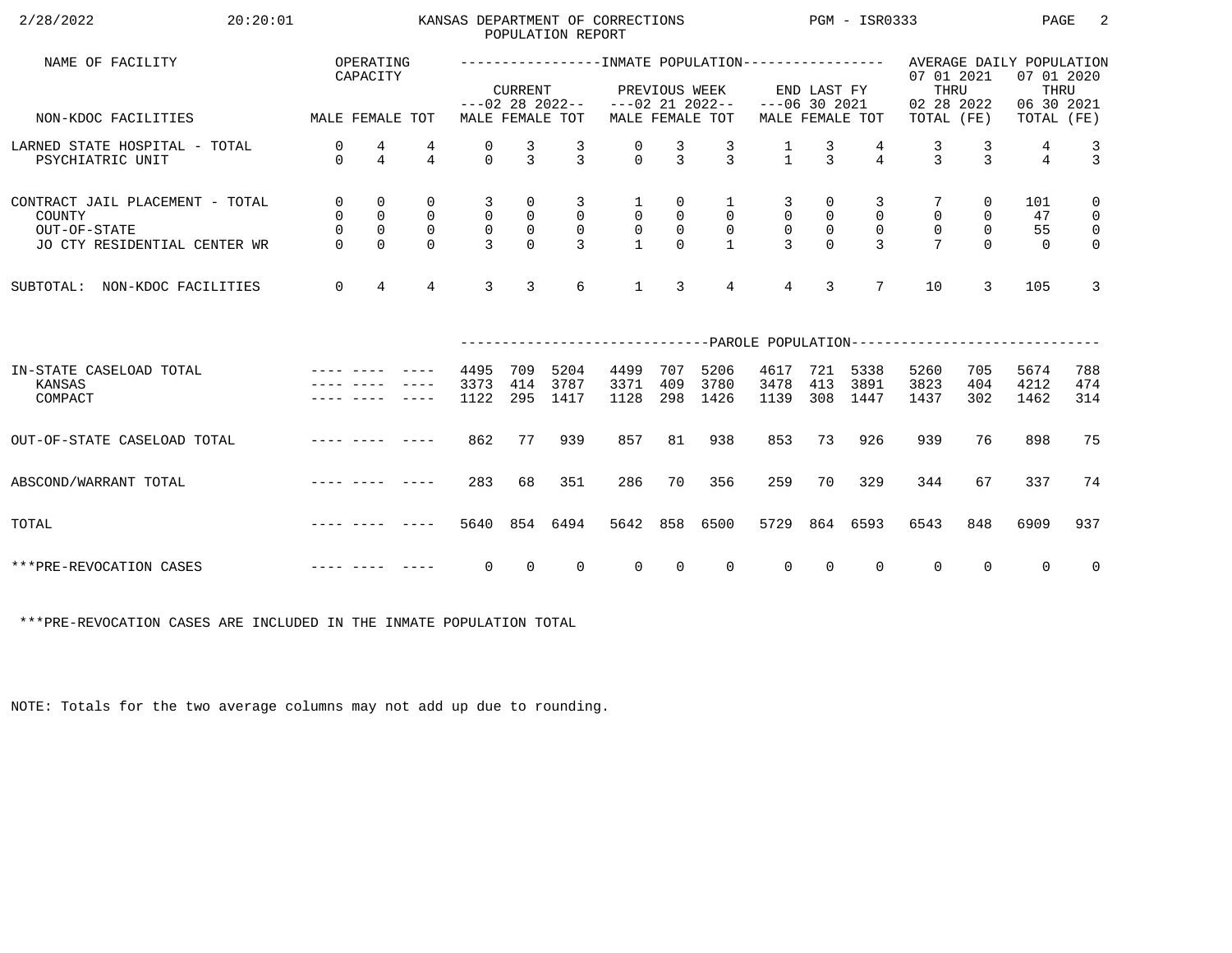| 2/28/2022<br>20:20:01                                                                                                                                                                                                                                     |                                                              |                                                               |                                                        |                                                   |                                                             | POPULATION REPORT                                     | KANSAS DEPARTMENT OF CORRECTIONS              |                                                 |                                                                  | $PGM - ISR0333$                                   |                                  |                                                 |                                                                                                   |                                               | PAGE                        | -2                                                                         |
|-----------------------------------------------------------------------------------------------------------------------------------------------------------------------------------------------------------------------------------------------------------|--------------------------------------------------------------|---------------------------------------------------------------|--------------------------------------------------------|---------------------------------------------------|-------------------------------------------------------------|-------------------------------------------------------|-----------------------------------------------|-------------------------------------------------|------------------------------------------------------------------|---------------------------------------------------|----------------------------------|-------------------------------------------------|---------------------------------------------------------------------------------------------------|-----------------------------------------------|-----------------------------|----------------------------------------------------------------------------|
| NAME OF FACILITY                                                                                                                                                                                                                                          |                                                              | OPERATING<br>CAPACITY                                         |                                                        |                                                   | <b>CURRENT</b>                                              |                                                       |                                               | PREVIOUS WEEK                                   |                                                                  |                                                   | END LAST FY                      |                                                 | ------------------NMATE POPULATION---------------- AVERAGE DAILY POPULATION<br>07 01 2021<br>THRU |                                               | 07 01 2020<br>THRU          |                                                                            |
| MALE FEMALE TOT<br>NON-KDOC FACILITIES                                                                                                                                                                                                                    |                                                              |                                                               |                                                        |                                                   |                                                             | MALE FEMALE TOT                                       | $---02$ 28 2022-- $---02$ 21 2022--           |                                                 | MALE FEMALE TOT                                                  | $---06$ 30 2021                                   |                                  | MALE FEMALE TOT                                 | 02 28 2022<br>TOTAL (FE)                                                                          |                                               | 06 30 2021<br>TOTAL (FE)    |                                                                            |
| LARNED STATE HOSPITAL - TOTAL<br>PSYCHIATRIC UNIT                                                                                                                                                                                                         | 0<br>$\Omega$                                                | 4<br>$\overline{4}$                                           | 4<br>$\overline{4}$                                    | 0<br>$\Omega$                                     | $\frac{3}{3}$                                               | $\frac{3}{3}$                                         | $\begin{matrix} 0 \\ 0 \end{matrix}$          | $\frac{3}{3}$                                   | $\frac{3}{3}$                                                    | $\frac{1}{1}$                                     | $\frac{3}{3}$                    | $\overline{4}$                                  | $\frac{3}{3}$                                                                                     | $\frac{3}{3}$                                 | 4<br>$\overline{4}$         | $\frac{3}{3}$                                                              |
| CONTRACT JAIL PLACEMENT - TOTAL<br>COUNTY<br>OUT-OF-STATE<br>JO CTY RESIDENTIAL CENTER WR                                                                                                                                                                 | $\overline{0}$<br>$\overline{0}$<br>$\mathsf{O}$<br>$\Omega$ | $\mathbf 0$<br>$\mathsf 0$<br>$\mathsf{O}\xspace$<br>$\Omega$ | $\mathbf 0$<br>$\mathsf{O}$<br>$\mathbf 0$<br>$\Omega$ | 3<br>$\mathsf{O}$<br>$\mathsf{O}$<br>$\mathbf{3}$ | 0<br>$\begin{smallmatrix}0\\0\end{smallmatrix}$<br>$\Omega$ | 3<br>$\overline{0}$<br>$\overline{0}$<br>$\mathbf{R}$ | $\mathbf{1}$<br>$\overline{0}$<br>$\mathsf 0$ | 0<br>$\overline{0}$<br>$\mathsf{O}$<br>$\Omega$ | $\mathbf{1}$<br>$\overline{0}$<br>$\overline{0}$<br>$\mathbf{1}$ | 3<br>$\mathsf{O}$<br>$\mathsf{O}$<br>$\mathbf{z}$ | 0<br>$\mathsf{O}$<br>$\mathbb O$ | 3<br>$\mathbf 0$<br>$\mathbf 0$<br>$\mathbf{R}$ | $\mathbf 0$<br>$\mathsf{O}$                                                                       | 0<br>$\mathsf{O}$<br>$\overline{0}$<br>$\cap$ | 101<br>47<br>55<br>$\Omega$ | $\mathbf 0$<br>$\overline{0}$<br>$\overline{\mathbf{0}}$<br>$\overline{0}$ |
| NON-KDOC FACILITIES<br>SUBTOTAL:                                                                                                                                                                                                                          | $\mathbf 0$                                                  | $\overline{4}$                                                | $\overline{4}$                                         | $\overline{3}$                                    | $\overline{3}$                                              | 6                                                     | $\mathbf{1}$                                  | 3                                               | $\overline{4}$                                                   | $\overline{4}$                                    | $\overline{3}$                   | $7\overline{ }$                                 | 10                                                                                                | 3                                             | 105                         | $\overline{3}$                                                             |
|                                                                                                                                                                                                                                                           |                                                              |                                                               |                                                        |                                                   |                                                             |                                                       |                                               |                                                 |                                                                  |                                                   |                                  |                                                 | ------------------------------PAROLE POPULATION--------------------------                         |                                               |                             |                                                                            |
| IN-STATE CASELOAD TOTAL<br>KANSAS<br>COMPACT                                                                                                                                                                                                              |                                                              |                                                               |                                                        | 4495<br>3373<br>1122                              | 709<br>414<br>295                                           | 5204<br>3787<br>1417                                  | 4499<br>3371<br>1128                          | 707<br>409<br>298                               | 5206<br>3780<br>1426                                             | 4617<br>3478<br>1139                              | 721<br>413<br>308                | 5338<br>3891<br>1447                            | 5260<br>3823<br>1437                                                                              | 705<br>404<br>302                             | 5674<br>4212<br>1462        | 788<br>474<br>314                                                          |
| OUT-OF-STATE CASELOAD TOTAL                                                                                                                                                                                                                               |                                                              |                                                               |                                                        | 862                                               | 77                                                          | 939                                                   | 857                                           | 81                                              | 938                                                              | 853                                               | 73                               | 926                                             | 939                                                                                               | 76                                            | 898                         | 75                                                                         |
| ABSCOND/WARRANT TOTAL                                                                                                                                                                                                                                     |                                                              |                                                               |                                                        | 283                                               | 68                                                          | 351                                                   | 286                                           | 70                                              | 356                                                              | 259                                               | 70                               | 329                                             | 344                                                                                               | 67                                            | 337                         | 74                                                                         |
| and the complete state and the state of the state of the state of the state of the state of the state of the s<br>TOTAL                                                                                                                                   |                                                              |                                                               |                                                        | 5640                                              |                                                             | 854 6494                                              | 5642                                          | 858                                             | 6500                                                             | 5729                                              |                                  | 864 6593                                        | 6543                                                                                              | 848                                           | 6909                        | 937                                                                        |
| and the contract with the contract of the contract of the contract of the contract of the contract of the contract of the contract of the contract of the contract of the contract of the contract of the contract of the cont<br>***PRE-REVOCATION CASES |                                                              |                                                               |                                                        | $\overline{0}$                                    | $\overline{0}$                                              | $\overline{0}$                                        | $\overline{0}$                                | $\overline{0}$                                  | $\overline{0}$                                                   | $\overline{0}$                                    | $\overline{0}$                   | $\mathbf{0}$                                    | $\overline{0}$                                                                                    | $\Omega$                                      | $\overline{0}$              | $\overline{0}$                                                             |

\*\*\*PRE-REVOCATION CASES ARE INCLUDED IN THE INMATE POPULATION TOTAL

NOTE: Totals for the two average columns may not add up due to rounding.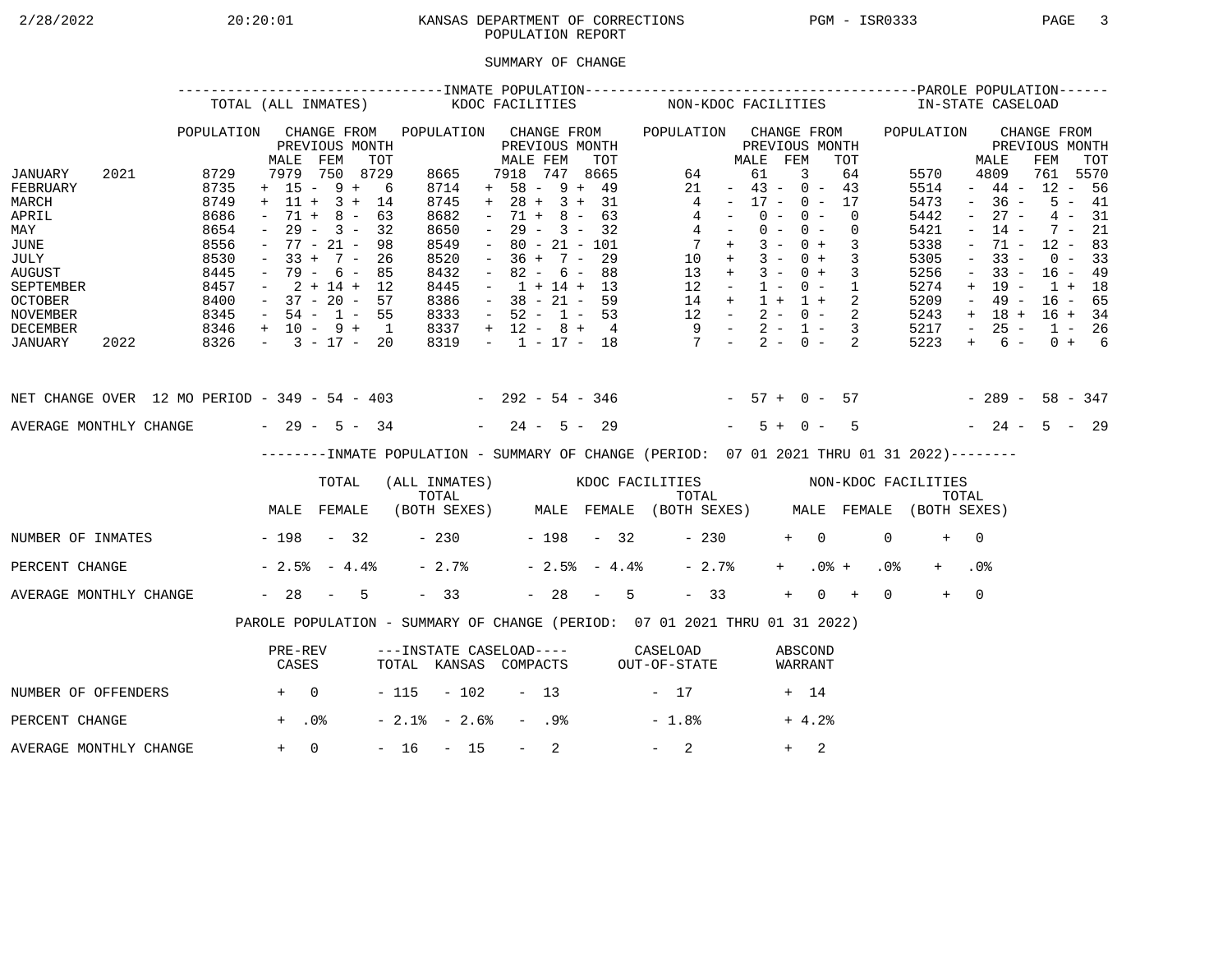## 2/28/2022 20:20:01 KANSAS DEPARTMENT OF CORRECTIONS PGM - ISR0333 PAGE 3POPULATION REPORT

### SUMMARY OF CHANGE

|                                                                                                                                    | TOTAL (ALL INMATES) |                                                                              |                                                                                                      |                                                                  | KDOC FACILITIES                                       |                                                                              |       |                                                                                                       |                          | NON-KDOC FACILITIES                                                                          |                |                                                                                           |                                                                                                         |                      |                         |                                                                                                | IN-STATE CASELOAD                                           |                 |                                                                              |                                                                                                                                         |                                                                                               |     |                                                                      |                                                     |
|------------------------------------------------------------------------------------------------------------------------------------|---------------------|------------------------------------------------------------------------------|------------------------------------------------------------------------------------------------------|------------------------------------------------------------------|-------------------------------------------------------|------------------------------------------------------------------------------|-------|-------------------------------------------------------------------------------------------------------|--------------------------|----------------------------------------------------------------------------------------------|----------------|-------------------------------------------------------------------------------------------|---------------------------------------------------------------------------------------------------------|----------------------|-------------------------|------------------------------------------------------------------------------------------------|-------------------------------------------------------------|-----------------|------------------------------------------------------------------------------|-----------------------------------------------------------------------------------------------------------------------------------------|-----------------------------------------------------------------------------------------------|-----|----------------------------------------------------------------------|-----------------------------------------------------|
| JANUARY<br>FEBRUARY                                                                                                                | 2021                | POPULATION<br>8729<br>8735                                                   | MALE<br>7979<br>$+ 15 - 9 +$                                                                         | FEM                                                              | CHANGE FROM<br>PREVIOUS MONTH<br>TOT<br>750 8729<br>6 | POPULATION<br>8665<br>8714                                                   |       | MALE FEM<br>7918<br>$+ 58 - 9 + 49$                                                                   |                          | CHANGE FROM<br>PREVIOUS MONTH<br>747                                                         | TOT<br>8665    | POPULATION CHANGE FROM<br>64<br>21                                                        |                                                                                                         | MALE<br>61<br>$\sim$ | FEM                     | PREVIOUS MONTH<br>3<br>$43 - 0 - 43$                                                           | TOT<br>64                                                   |                 | POPULATION<br>5570<br>5514                                                   |                                                                                                                                         | MALE<br>4809<br>$-44-$                                                                        | FEM | CHANGE FROM<br>PREVIOUS MONTH<br>761<br>$12 - 56$                    | TOT<br>5570                                         |
| MARCH<br>APRIL<br>MAY<br><b>JUNE</b><br>JULY<br><b>AUGUST</b><br>SEPTEMBER<br><b>OCTOBER</b><br><b>NOVEMBER</b><br><b>DECEMBER</b> |                     | 8749<br>8686<br>8654<br>8556<br>8530<br>8445<br>8457<br>8400<br>8345<br>8346 | $+$ 11 +<br>$71 +$<br>$ \,$<br>$33 +$<br>$\sim$<br>$-37 - 20 - 57$<br>$-54 - 1 - 55$<br>+ 10 - 9 + 1 | $3 +$<br>$8 -$<br>$29 - 3 -$<br>$77 - 21 -$<br>$7 -$<br>79 - 6 - | 14<br>63<br>32<br>98<br>26<br>85<br>$2 + 14 + 12$     | 8745<br>8682<br>8650<br>8549<br>8520<br>8432<br>8445<br>8386<br>8333<br>8337 |       | $+ 28 + 3 + 31$<br>$\sim$<br>$\sim$<br>$\sim$<br>$\sim$<br>$\sim$<br>$-52 - 1 - 53$<br>$+ 12 - 8 + 4$ | 71 +<br>$36 +$<br>$82 -$ | $8 -$<br>$29 - 3 - 32$<br>$80 - 21 - 101$<br>$7 -$<br>6 –<br>$1 + 14 + 13$<br>$38 - 21 - 59$ | 63<br>29<br>88 | 13<br>12                                                                                  | 4<br>4<br>$4 -$<br>$7 +$<br>$10 +$<br>$+$<br>$\sim$ $ -$<br>14 +<br>$12 - 2 - 0 - 2$<br>$9 - 2 - 1 - 3$ | $\sim$ $-$           | $0 -$<br>$3 -$<br>$1 -$ | $17 - 0 - 17$<br>$0 -$<br>$0 - 0 -$<br>$0 +$<br>$3 - 0 +$<br>$3 - 0 +$<br>$0 - 1$<br>$1 + 1 +$ | $\Omega$<br>$\overline{0}$<br>3<br>$\overline{3}$<br>3<br>2 |                 | 5473<br>5442<br>5421<br>5338<br>5305<br>5256<br>5274<br>5209<br>5243<br>5217 | $\sim$<br>$\equiv$<br>$\overline{\phantom{a}}$<br>$\overline{\phantom{a}}$<br>$\overline{\phantom{a}}$<br>$+$<br>$ \,$<br>$+$<br>$\sim$ | $-36 -$<br>$27 -$<br>$14 -$<br>71 -<br>$33 -$<br>$33 -$<br>$19 -$<br>$49 -$<br>18 +<br>$25 -$ |     | $7 -$<br>$12 - 83$<br>$0 - 33$<br>$16 - 49$<br>$1 + 18$<br>$16 - 65$ | $5 - 41$<br>$4 - 31$<br>21<br>$16 + 34$<br>$1 - 26$ |
| JANUARY                                                                                                                            | 2022                | 8326                                                                         | $-3 - 17 - 20$                                                                                       |                                                                  |                                                       | 8319                                                                         |       | $-1$ $-17$ $-18$                                                                                      |                          |                                                                                              |                | $7 - 2 - 0 -$                                                                             |                                                                                                         |                      |                         |                                                                                                | 2                                                           |                 | 5223                                                                         | $+$                                                                                                                                     | 6 –                                                                                           |     |                                                                      | $0 + 6$                                             |
| NET CHANGE OVER 12 MO PERIOD - 349 - 54 - 403 - 292 - 54 - 346 - 57 + 0 - 57                                                       |                     |                                                                              |                                                                                                      |                                                                  |                                                       |                                                                              |       |                                                                                                       |                          |                                                                                              |                |                                                                                           |                                                                                                         |                      |                         |                                                                                                |                                                             |                 | $-289 - 58 - 347$                                                            |                                                                                                                                         |                                                                                               |     |                                                                      |                                                     |
| AVERAGE MONTHLY CHANGE $-29 - 5 - 34$                                                                                              |                     |                                                                              |                                                                                                      |                                                                  |                                                       |                                                                              |       | $-24 - 5 - 29$                                                                                        |                          |                                                                                              |                |                                                                                           |                                                                                                         |                      | $5+$                    | $0 -$                                                                                          | 5                                                           |                 |                                                                              |                                                                                                                                         | $-24 - 5 - 29$                                                                                |     |                                                                      |                                                     |
|                                                                                                                                    |                     |                                                                              |                                                                                                      |                                                                  |                                                       |                                                                              |       |                                                                                                       |                          |                                                                                              |                | -------INMATE POPULATION - SUMMARY OF CHANGE (PERIOD: 07 01 2021 THRU 01 31 2022)-------- |                                                                                                         |                      |                         |                                                                                                |                                                             |                 |                                                                              |                                                                                                                                         |                                                                                               |     |                                                                      |                                                     |
|                                                                                                                                    |                     |                                                                              |                                                                                                      | TOTAL                                                            |                                                       | TOTAL                                                                        |       |                                                                                                       |                          |                                                                                              |                | (ALL INMATES) WOOC FACILITIES NON-KDOC FACILITIES                                         | TOTAL                                                                                                   |                      |                         |                                                                                                |                                                             |                 |                                                                              | TOTAL                                                                                                                                   |                                                                                               |     |                                                                      |                                                     |
|                                                                                                                                    |                     |                                                                              | MALE FEMALE                                                                                          |                                                                  |                                                       |                                                                              |       |                                                                                                       |                          |                                                                                              |                | (BOTH SEXES) MALE FEMALE (BOTH SEXES) MALE FEMALE (BOTH SEXES)                            |                                                                                                         |                      |                         |                                                                                                |                                                             |                 |                                                                              |                                                                                                                                         |                                                                                               |     |                                                                      |                                                     |
| NUMBER OF INMATES - 198 - 32                                                                                                       |                     |                                                                              |                                                                                                      |                                                                  |                                                       | $-230$                                                                       |       | $-198 - 32$                                                                                           |                          |                                                                                              |                |                                                                                           | $-230$                                                                                                  |                      |                         | $+$ 0                                                                                          |                                                             | $\Omega$        | $+$                                                                          | $\overline{0}$                                                                                                                          |                                                                                               |     |                                                                      |                                                     |
| PERCENT CHANGE                                                                                                                     |                     |                                                                              | $-2.5% - 4.4%$                                                                                       |                                                                  |                                                       | $-2.7%$                                                                      |       |                                                                                                       |                          | $-2.5% - 4.4%$                                                                               |                |                                                                                           | $-2.7%$                                                                                                 |                      | $+$                     |                                                                                                | $.0%$ +                                                     | .0 <sub>8</sub> |                                                                              | .0%                                                                                                                                     |                                                                                               |     |                                                                      |                                                     |
| AVERAGE MONTHLY CHANGE                                                                                                             |                     |                                                                              | $-28 - 5$                                                                                            |                                                                  |                                                       | $-33$                                                                        |       |                                                                                                       |                          | $-28 - 5$                                                                                    |                |                                                                                           | $-33$                                                                                                   |                      | $+$                     |                                                                                                | $0 +$                                                       | $\Omega$        | $+$                                                                          | $\Omega$                                                                                                                                |                                                                                               |     |                                                                      |                                                     |
|                                                                                                                                    |                     |                                                                              |                                                                                                      |                                                                  |                                                       |                                                                              |       |                                                                                                       |                          |                                                                                              |                | PAROLE POPULATION - SUMMARY OF CHANGE (PERIOD: 07 01 2021 THRU 01 31 2022)                |                                                                                                         |                      |                         |                                                                                                |                                                             |                 |                                                                              |                                                                                                                                         |                                                                                               |     |                                                                      |                                                     |
|                                                                                                                                    |                     |                                                                              | PRE-REV<br>CASES                                                                                     |                                                                  |                                                       |                                                                              |       |                                                                                                       |                          |                                                                                              |                | ---INSTATE CASELOAD---- CASELOAD<br>TOTAL KANSAS COMPACTS OUT-OF-STATE                    |                                                                                                         |                      |                         | ABSCOND<br>WARRANT                                                                             |                                                             |                 |                                                                              |                                                                                                                                         |                                                                                               |     |                                                                      |                                                     |
| NUMBER OF OFFENDERS                                                                                                                |                     | $+ 0$                                                                        |                                                                                                      |                                                                  |                                                       | $-115 - 102$                                                                 |       |                                                                                                       | $-13$                    |                                                                                              |                | $-17$                                                                                     |                                                                                                         |                      |                         | + 14                                                                                           |                                                             |                 |                                                                              |                                                                                                                                         |                                                                                               |     |                                                                      |                                                     |
| PERCENT CHANGE                                                                                                                     |                     |                                                                              | $+$ .0%                                                                                              |                                                                  |                                                       | $-2.1$ % $-2.6$ %                                                            |       |                                                                                                       | - .9%                    |                                                                                              |                | $-1.8%$                                                                                   |                                                                                                         |                      |                         | $+4.2%$                                                                                        |                                                             |                 |                                                                              |                                                                                                                                         |                                                                                               |     |                                                                      |                                                     |
| AVERAGE MONTHLY CHANGE                                                                                                             |                     |                                                                              | $+$                                                                                                  | $\Omega$                                                         |                                                       | $-16$                                                                        | $-15$ |                                                                                                       | $-$                      | 2                                                                                            |                | 2                                                                                         |                                                                                                         |                      | $+$                     | 2                                                                                              |                                                             |                 |                                                                              |                                                                                                                                         |                                                                                               |     |                                                                      |                                                     |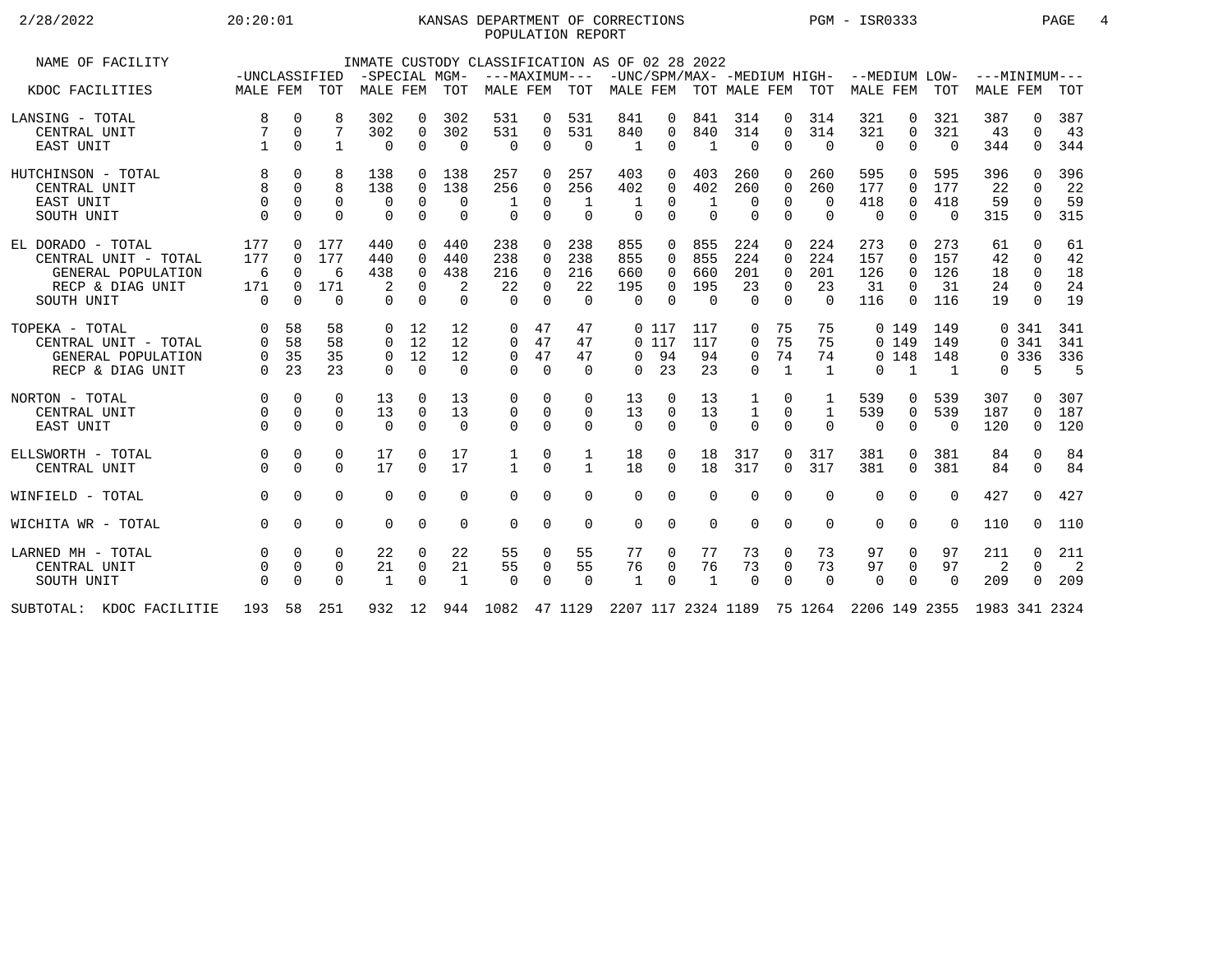### 2/28/2022 20:20:01 KANSAS DEPARTMENT OF CORRECTIONS PGM - ISR0333 PAGE 4POPULATION REPORT

| NAME OF FACILITY            |               |          |             |                |             |              | INMATE CUSTODY CLASSIFICATION AS OF 02 28 2022                                 |             |               |              |              |                             |                |              |                |               |              |          |                 |              |                            |
|-----------------------------|---------------|----------|-------------|----------------|-------------|--------------|--------------------------------------------------------------------------------|-------------|---------------|--------------|--------------|-----------------------------|----------------|--------------|----------------|---------------|--------------|----------|-----------------|--------------|----------------------------|
|                             | -UNCLASSIFIED |          |             | -SPECIAL MGM-  |             |              |                                                                                |             | ---MAXIMUM--- |              |              | -UNC/SPM/MAX- -MEDIUM HIGH- |                |              |                | --MEDIUM LOW- |              |          | ---MINIMUM---   |              |                            |
| KDOC FACILITIES             | MALE FEM      |          | TOT         | MALE FEM       |             | TOT          | MALE FEM                                                                       |             | TOT           |              |              | MALE FEM TOT MALE FEM TOT   |                |              |                | MALE FEM      |              | TOT      | <b>MALE FEM</b> |              | TOT                        |
| LANSING - TOTAL             | 8             | 0        | 8           | 302            | 0           | 302          | 531                                                                            | 0           | 531           | 841          | 0            | 841                         | 314            | 0            | 314            | 321           | 0            | 321      | 387             | 0            | 387                        |
| CENTRAL UNIT                | 7             | 0        | 7           | 302            | 0           | 302          | 531                                                                            | $\Omega$    | 531           | 840          | 0            | 840                         | 314            | 0            | 314            | 321           | $\Omega$     | 321      | 43              | 0            | 43                         |
| EAST UNIT                   | $\mathbf{1}$  | 0        | 1           | 0              | $\mathbf 0$ | $\Omega$     | $\mathbf 0$                                                                    | 0           | $\Omega$      | 1            | $\Omega$     | 1                           | $\overline{0}$ | 0            | $\Omega$       | $\mathbf 0$   | $\Omega$     | $\Omega$ | 344             | 0            | 344                        |
| HUTCHINSON - TOTAL          | 8             | 0        | 8           | 138            | 0           | 138          | 257                                                                            | 0           | 257           | 403          | <sup>0</sup> | 403                         | 260            | 0            | 260            | 595           | $\Omega$     | 595      | 396             | <sup>n</sup> | 396                        |
| CENTRAL UNIT                | 8             | $\Omega$ | 8           | 138            | 0           | 138          | 256                                                                            | $\Omega$    | 256           | 402          | 0            | 402                         | 260            | 0            | 260            | 177           | $\Omega$     | 177      | 22              | 0            | 22                         |
| EAST UNIT                   | $\mathbf 0$   | 0        | 0           | 0              | $\mathbf 0$ | 0            |                                                                                | $\Omega$    | 1             |              | 0            | 1                           | 0              | 0            | $\Omega$       | 418           | 0            | 418      | 59              | 0            | 59                         |
| SOUTH UNIT                  | $\Omega$      | $\Omega$ | $\Omega$    | $\Omega$       | $\Omega$    | $\Omega$     | $\Omega$                                                                       | $\Omega$    | $\Omega$      | $\Omega$     | $\Omega$     | $\Omega$                    | $\Omega$       | $\Omega$     | $\Omega$       | $\Omega$      | $\Omega$     | $\Omega$ | 315             | $\Omega$     | 315                        |
| EL DORADO - TOTAL           | 177           | 0        | 177         | 440            | $\Omega$    | 440          | 238                                                                            | $\Omega$    | 238           | 855          | $\Omega$     | 855                         | 224            | $\Omega$     | 224            | 273           | $\Omega$     | 273      | 61              | $\Omega$     | 61                         |
| CENTRAL UNIT - TOTAL        | 177           | 0        | 177         | 440            | $\Omega$    | 440          | 238                                                                            | $\Omega$    | 238           | 855          | 0            | 855                         | 224            | $\Omega$     | 224            | 157           | $\Omega$     | 157      | 42              | $\Omega$     | 42                         |
| GENERAL POPULATION          | 6             | $\Omega$ | 6           | 438            | $\Omega$    | 438          | 216                                                                            | $\Omega$    | 216           | 660          | $\Omega$     | 660                         | 201            | $\Omega$     | 201            | 126           | $\Omega$     | 126      | 18              | $\Omega$     | 18                         |
| RECP & DIAG UNIT            | 171           | 0        | 171         | 2              | $\Omega$    | 2            | 22                                                                             | $\Omega$    | 22            | 195          | $\Omega$     | 195                         | 23             | $\Omega$     | 23             | 31            | $\Omega$     | 31       | 24              | $\Omega$     | 24                         |
| SOUTH UNIT                  | $\Omega$      | $\Omega$ | $\Omega$    | $\Omega$       | $\Omega$    | $\Omega$     | $\Omega$                                                                       | $\Omega$    | $\Omega$      | $\Omega$     | $\Omega$     | $\Omega$                    | $\Omega$       | $\Omega$     | $\Omega$       | 116           | $\Omega$     | 116      | 19              | $\Omega$     | 19                         |
| TOPEKA - TOTAL              | $\mathbf 0$   | 58       | 58          | $\Omega$       | 12          | 12           | $\Omega$                                                                       | 47          | 47            |              | 0117         | 117                         | 0              | 75           | 75             |               | 0, 149       | 149      |                 | 0.341        | 341                        |
| CENTRAL UNIT - TOTAL        | $\Omega$      | 58       | 58          | $\Omega$       | 12          | 12           | 0                                                                              | 47          | 47            |              | 0117         | 117                         | $\mathbf 0$    | 75           | 75             |               | 0 149        | 149      |                 | 0.341        | 341                        |
| GENERAL POPULATION          | $\mathbf 0$   | 35       | 35          | $\overline{0}$ | 12          | 12           | $\mathbf 0$                                                                    | 47          | 47            | $\Omega$     | 94           | 94                          | $\mathbf 0$    | 74           | 74             |               | 0, 148       | 148      |                 | 0 3 3 6      | 336                        |
| RECP & DIAG UNIT            | $\Omega$      | 23       | 23          | $\Omega$       | $\Omega$    | $\Omega$     | 0                                                                              | $\Omega$    | $\Omega$      | $\Omega$     | 23           | 23                          | $\Omega$       | $\mathbf{1}$ | $\overline{1}$ | $\Omega$      | $\mathbf{1}$ | 1        | 0               | 5            | 5                          |
| NORTON - TOTAL              | $\Omega$      | $\Omega$ | $\Omega$    | 13             | $\Omega$    | 13           | 0                                                                              | $\Omega$    | 0             | 13           | $\Omega$     | 13                          | 1              | 0            |                | 539           | 0            | 539      | 307             | <sup>n</sup> | 307                        |
| CENTRAL UNIT                | $\mathbf 0$   | $\Omega$ | $\mathbf 0$ | 13             | $\mathbf 0$ | 13           | 0                                                                              | $\mathbf 0$ | $\mathbf 0$   | 13           | 0            | 13                          | $\mathbf 1$    | 0            | $\mathbf{1}$   | 539           | $\mathbf 0$  | 539      | 187             | 0            | 187                        |
| EAST UNIT                   | $\Omega$      | $\Omega$ | $\Omega$    | $\Omega$       | $\Omega$    | $\Omega$     | $\Omega$                                                                       | $\Omega$    | $\Omega$      | $\Omega$     | $\Omega$     | $\Omega$                    | $\overline{0}$ | $\Omega$     | $\Omega$       | $\Omega$      | $\Omega$     | $\Omega$ | 120             | 0            | 120                        |
| ELLSWORTH - TOTAL           | 0             | $\Omega$ | 0           | 17             | $\Omega$    | 17           | 1                                                                              | $\Omega$    | 1             | 18           | 0            | 18                          | 317            | 0            | 317            | 381           | $\Omega$     | 381      | 84              | $\Omega$     | 84                         |
| CENTRAL UNIT                | $\Omega$      | $\Omega$ | $\Omega$    | 17             | $\Omega$    | 17           | $\mathbf{1}$                                                                   | $\Omega$    | $\mathbf{1}$  | 18           | $\Omega$     | 18                          | 317            | $\Omega$     | 317            | 381           | $\Omega$     | 381      | 84              | 0            | 84                         |
| WINFIELD - TOTAL            | $\Omega$      | $\Omega$ | $\Omega$    | $\Omega$       | $\Omega$    | $\Omega$     | $\Omega$                                                                       | $\Omega$    | $\Omega$      | $\Omega$     | $\Omega$     | $\Omega$                    | $\Omega$       | $\Omega$     | $\Omega$       | $\Omega$      | $\Omega$     | $\Omega$ | 427             | $\Omega$     | 427                        |
| WICHITA WR - TOTAL          | $\Omega$      | $\Omega$ | $\Omega$    | $\Omega$       | $\Omega$    | $\Omega$     | $\Omega$                                                                       | $\Omega$    | $\Omega$      | $\Omega$     | $\Omega$     | $\Omega$                    | $\Omega$       | $\Omega$     | $\Omega$       | $\Omega$      | $\Omega$     | $\Omega$ | 110             | 0            | 110                        |
| LARNED MH - TOTAL           | $\mathbf 0$   | $\Omega$ | $\Omega$    | 22             | 0           | 22           | 55                                                                             | $\mathbf 0$ | 55            | 77           | 0            | 77                          | 73             | 0            | 73             | 97            | 0            | 97       | 211             | 0            | 211                        |
| CENTRAL UNIT                | $\mathbf 0$   | 0        | 0           | 21             | $\mathbf 0$ | 21           | 55                                                                             | $\mathbf 0$ | 55            | 76           | 0            | 76                          | 73             | 0            | 73             | 97            | $\mathbf 0$  | 97       | 2               | $\Omega$     | $\overline{\phantom{0}}^2$ |
| SOUTH UNIT                  | $\Omega$      | $\Omega$ | $\Omega$    | $\mathbf{1}$   | $\Omega$    | $\mathbf{1}$ | $\mathbf 0$                                                                    | $\Omega$    | $\Omega$      | $\mathbf{1}$ | $\Omega$     | $\mathbf{1}$                | $\Omega$       | $\Omega$     | $\Omega$       | $\Omega$      | $\Omega$     | $\Omega$ | 209             | 0            | 209                        |
| SUBTOTAL:<br>KDOC FACILITIE |               |          | 193 58 251  |                |             |              | 932 12 944 1082 47 1129 2207 117 2324 1189 75 1264 2206 149 2355 1983 341 2324 |             |               |              |              |                             |                |              |                |               |              |          |                 |              |                            |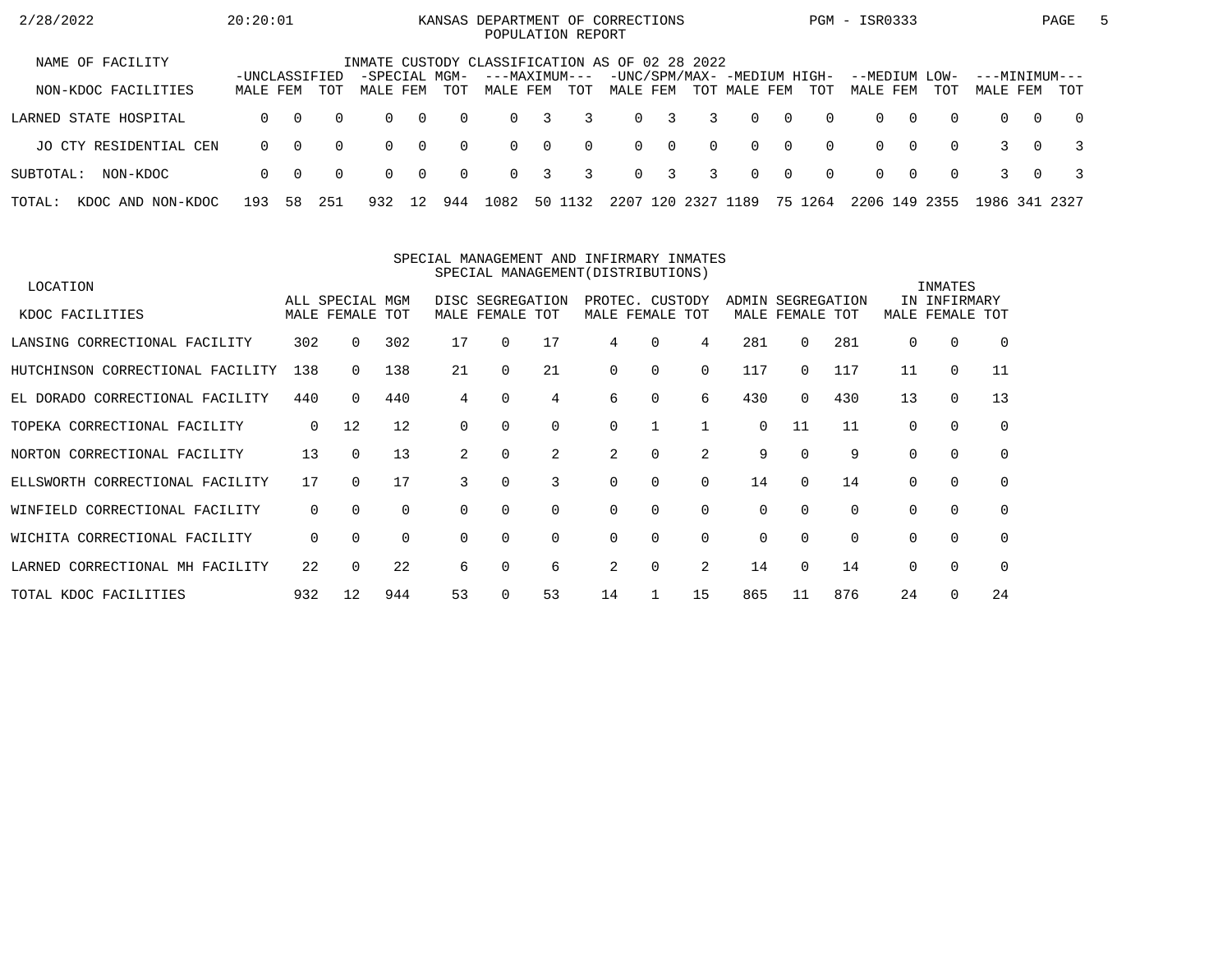| 2/28/2022                   | 20:20:01                  |          |          |                                                |                |          | KANSAS DEPARTMENT OF CORRECTIONS<br>POPULATION REPORT |          |          |          |             |                |                                             |                |          | PGM - ISR0333             |          |          |                           |          | PAGE           | 5 |
|-----------------------------|---------------------------|----------|----------|------------------------------------------------|----------------|----------|-------------------------------------------------------|----------|----------|----------|-------------|----------------|---------------------------------------------|----------------|----------|---------------------------|----------|----------|---------------------------|----------|----------------|---|
| NAME OF FACILITY            |                           |          |          | INMATE CUSTODY CLASSIFICATION AS OF 02 28 2022 |                |          |                                                       |          |          |          |             |                |                                             |                |          |                           |          |          |                           |          |                |   |
| NON-KDOC FACILITIES         | -UNCLASSIFIED<br>MALE FEM |          | TOT      | -SPECIAL MGM-<br>MALE FEM                      |                | TOT      | ---MAXIMUM---<br>MALE FEM                             |          | TOT      | MALE FEM |             |                | -UNC/SPM/MAX- -MEDIUM HIGH-<br>TOT MALE FEM |                | TOT      | --MEDIUM LOW-<br>MALE FEM |          | TOT      | ---MINIMUM---<br>MALE FEM |          | TOT            |   |
| LARNED STATE HOSPITAL       | $\Omega$                  | $\Omega$ | $\Omega$ | $\Omega$                                       | $\overline{0}$ | $\Omega$ | $\Omega$                                              | 3        | 3        |          | $0 \quad 3$ | $\overline{3}$ | $\Omega$                                    | $\bigcirc$     | $\Omega$ | $\Omega$                  | $\Omega$ | $\Omega$ | $\Omega$                  | $\Omega$ | $\overline{0}$ |   |
| JO CTY RESIDENTIAL CEN      | $\Omega$                  | $\Omega$ | $\Omega$ | $\Omega$                                       | $\overline{0}$ | $\Omega$ | $\Omega$                                              | $\Omega$ | $\Omega$ |          | $0 \quad 0$ | $\Omega$       | $\Omega$                                    | $\overline{0}$ | $\Omega$ | $\Omega$                  | $\Omega$ | $\Omega$ |                           | $\Omega$ |                |   |
| SUBTOTAL:<br>NON-KDOC       | $\Omega$                  | $\Omega$ | $\Omega$ | $\Omega$                                       | $\overline{0}$ | $\Omega$ | $\Omega$                                              | 3        | 3        |          | $0 \quad 3$ | 3              | $\Omega$                                    | $\overline{0}$ | $\Omega$ | $\Omega$                  | റ        | $\Omega$ |                           | $\Omega$ |                |   |
| TOTAL:<br>KDOC AND NON-KDOC | 193                       | 58       | 251      | 932                                            | 12             | 944      | 1082                                                  |          | 50 1132  | 2207     | 120         | 2327 1189      |                                             |                | 75 1264  | 2206 149 2355             |          |          | 1986 341 2327             |          |                |   |

#### SPECIAL MANAGEMENT AND INFIRMARY INMATESSPECIAL MANAGEMENT(DISTRIBUTIONS)

| LOCATION                         |             |                 |          |             |                  |             |    |                 |          |       |             |          |          | INMATES      |          |
|----------------------------------|-------------|-----------------|----------|-------------|------------------|-------------|----|-----------------|----------|-------|-------------|----------|----------|--------------|----------|
|                                  |             | ALL SPECIAL MGM |          |             | DISC SEGREGATION |             |    | PROTEC. CUSTODY |          | ADMIN | SEGREGATION |          |          | IN INFIRMARY |          |
| KDOC FACILITIES                  |             | MALE FEMALE TOT |          |             | MALE FEMALE TOT  |             |    | MALE FEMALE TOT |          |       | MALE FEMALE | TOT      | MALE     | FEMALE       | TOT      |
| LANSING CORRECTIONAL FACILITY    | 302         | 0               | 302      | 17          | $\Omega$         | 17          | 4  | $\Omega$        | 4        | 281   | 0           | 281      | $\Omega$ | 0            | $\Omega$ |
| HUTCHINSON CORRECTIONAL FACILITY | 138         | 0               | 138      | 21          | $\Omega$         | 21          | 0  | $\Omega$        | 0        | 117   | $\Omega$    | 117      | 11       | $\mathbf 0$  | 11       |
| EL DORADO CORRECTIONAL FACILITY  | 440         | $\Omega$        | 440      | $4^{\circ}$ | $\Omega$         | 4           | 6  | 0               | 6        | 430   | $\Omega$    | 430      | 13       | $\mathbf 0$  | 13       |
| TOPEKA CORRECTIONAL FACILITY     | $\mathbf 0$ | 12              | 12       | $\Omega$    |                  | $\mathbf 0$ | 0  |                 |          | 0     | 11          | 11       | $\Omega$ | 0            | 0        |
| NORTON CORRECTIONAL FACILITY     | 13          | $\Omega$        | 13       | 2           | $\Omega$         | 2           | 2  | $\Omega$        | 2        | 9     | $\Omega$    | 9        | $\Omega$ | 0            | $\Omega$ |
| ELLSWORTH CORRECTIONAL FACILITY  | 17          | 0               | 17       | 3           |                  | 3           | 0  | $\Omega$        | $\Omega$ | 14    | $\Omega$    | 14       | $\Omega$ | $\mathbf 0$  | $\Omega$ |
| WINFIELD CORRECTIONAL FACILITY   | 0           | $\Omega$        | $\Omega$ | $\Omega$    | $\Omega$         | 0           | 0  | 0               | 0        | 0     | $\Omega$    | $\Omega$ | $\Omega$ | 0            | $\Omega$ |
| WICHITA CORRECTIONAL FACILITY    | 0           | $\Omega$        | $\Omega$ | $\Omega$    | 0                | $\Omega$    | 0  | $\Omega$        | $\Omega$ | 0     | $\Omega$    | $\Omega$ | $\Omega$ | $\Omega$     | $\Omega$ |
| LARNED CORRECTIONAL MH FACILITY  | 22          | $\Omega$        | 22       | 6           |                  | 6           | 2  | 0               | 2        | 14    | $\Omega$    | 14       | $\Omega$ | $\mathbf 0$  | $\Omega$ |
| TOTAL KDOC FACILITIES            | 932         | 12              | 944      | 53          |                  | 53          | 14 |                 | 15       | 865   | 11          | 876      | 24       | $\Omega$     | 24       |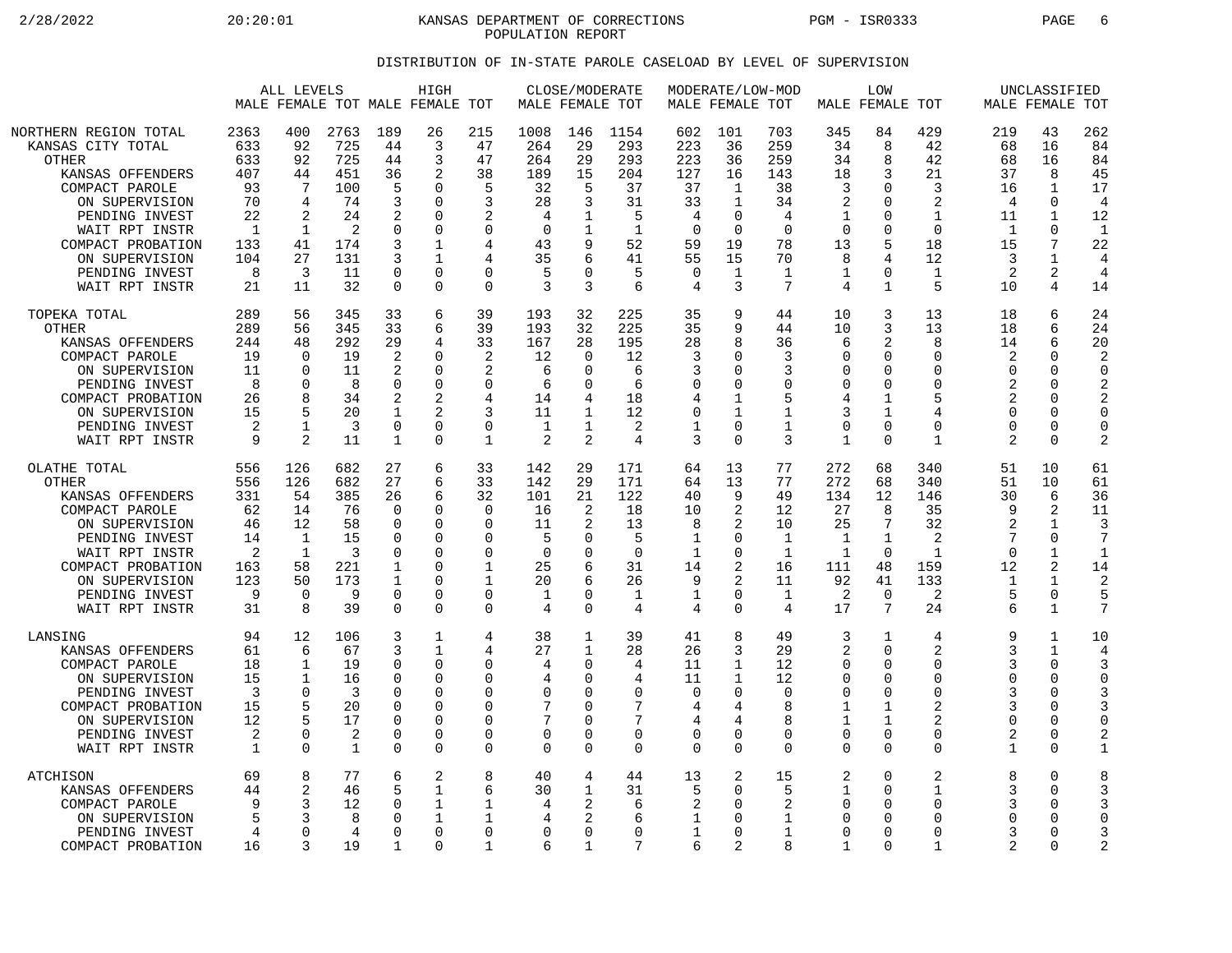2/28/2022 20:20:01 KANSAS DEPARTMENT OF CORRECTIONS PGM - ISR0333 PAGE 6 POPULATION REPORT

### DISTRIBUTION OF IN-STATE PAROLE CASELOAD BY LEVEL OF SUPERVISION

|                                                                                                                                                                                                                                   | ALL LEVELS<br>MALE FEMALE TOT MALE FEMALE TOT                                          |                                                                                          |                                                                             |                                                                                               | HIGH                                                                                                 |                                                                                                    |                                                                       | CLOSE/MODERATE<br>MALE FEMALE TOT                                     |                                                                                   |                                                                                             | MODERATE/LOW-MOD<br>MALE FEMALE TOT                                              |                                                                                 |                                                                                       | LOW<br>MALE FEMALE TOT                                                                                      |                                                                                                       |                                                                                                | UNCLASSIFIED<br>MALE FEMALE TOT                                                   |                                                                                                     |
|-----------------------------------------------------------------------------------------------------------------------------------------------------------------------------------------------------------------------------------|----------------------------------------------------------------------------------------|------------------------------------------------------------------------------------------|-----------------------------------------------------------------------------|-----------------------------------------------------------------------------------------------|------------------------------------------------------------------------------------------------------|----------------------------------------------------------------------------------------------------|-----------------------------------------------------------------------|-----------------------------------------------------------------------|-----------------------------------------------------------------------------------|---------------------------------------------------------------------------------------------|----------------------------------------------------------------------------------|---------------------------------------------------------------------------------|---------------------------------------------------------------------------------------|-------------------------------------------------------------------------------------------------------------|-------------------------------------------------------------------------------------------------------|------------------------------------------------------------------------------------------------|-----------------------------------------------------------------------------------|-----------------------------------------------------------------------------------------------------|
| NORTHERN REGION TOTAL<br>KANSAS CITY TOTAL<br><b>OTHER</b><br>KANSAS OFFENDERS<br>COMPACT PAROLE<br>ON SUPERVISION<br>PENDING INVEST<br>WAIT RPT INSTR<br>COMPACT PROBATION<br>ON SUPERVISION<br>PENDING INVEST<br>WAIT RPT INSTR | 2363<br>633<br>633<br>407<br>93<br>70<br>22<br>$\overline{1}$<br>133<br>104<br>8<br>21 | 400<br>92<br>92<br>44<br>7<br>4<br>2<br>1<br>41<br>27<br>3<br>11                         | 2763<br>725<br>725<br>451<br>100<br>74<br>24<br>2<br>174<br>131<br>11<br>32 | 189<br>44<br>44<br>36<br>5<br>3<br>2<br>0<br>3<br>3<br>$\Omega$<br>$\mathbf 0$                | 26<br>3<br>3<br>2<br>$\cap$<br>$\Omega$<br>$\Omega$<br>$\Omega$<br>1<br>1<br>$\Omega$<br>$\Omega$    | 215<br>47<br>47<br>38<br>5<br>3<br>$\overline{2}$<br>$\mathbf 0$<br>4<br>4<br>$\Omega$<br>$\Omega$ | 1008<br>264<br>264<br>189<br>32<br>28<br>4<br>0<br>43<br>35<br>5<br>3 | 146<br>29<br>29<br>15<br>5<br>3<br>9<br>U<br>3                        | 1154<br>293<br>293<br>204<br>37<br>31<br>.5<br>$\mathbf{1}$<br>52<br>41<br>5<br>6 | 602<br>223<br>223<br>127<br>37<br>33<br>4<br>$\overline{0}$<br>59<br>55<br>$\mathbf 0$<br>4 | 101<br>36<br>36<br>16<br>1<br>1<br>$\Omega$<br>$\mathbf 0$<br>19<br>15<br>1<br>3 | 703<br>259<br>259<br>143<br>38<br>34<br>4<br>$\Omega$<br>78<br>70<br>1<br>7     | 345<br>34<br>34<br>18<br>3<br>$\overline{2}$<br>1<br>$\Omega$<br>13<br>8<br>1<br>4    | 84<br>8<br>8<br>3<br>$\Omega$<br>$\Omega$<br>$\Omega$<br>$\Omega$<br>5<br>4<br>$\Omega$<br>$\mathbf{1}$     | 429<br>42<br>42<br>21<br>3<br>$\overline{2}$<br>$\mathbf{1}$<br>$\Omega$<br>18<br>12<br>1<br>5        | 219<br>68<br>68<br>37<br>16<br>$\overline{4}$<br>11<br>$\mathbf{1}$<br>15<br>3<br>2<br>10      | 43<br>16<br>16<br>8<br>1<br>0<br>1<br>$\Omega$<br>7<br>1<br>2<br>4                | 262<br>84<br>84<br>45<br>17<br>4<br>12<br>$\mathbf{1}$<br>22<br>4<br>4<br>14                        |
| TOPEKA TOTAL<br><b>OTHER</b><br>KANSAS OFFENDERS<br>COMPACT PAROLE<br>ON SUPERVISION<br>PENDING INVEST<br>COMPACT PROBATION<br>ON SUPERVISION<br>PENDING INVEST<br>WAIT RPT INSTR                                                 | 289<br>289<br>244<br>19<br>11<br>8<br>26<br>15<br>2<br>9                               | 56<br>56<br>48<br>$\Omega$<br>$\cap$<br>$\Omega$<br>8<br>5<br>$\mathbf{1}$<br>2          | 345<br>345<br>292<br>19<br>11<br>8<br>34<br>20<br>3<br>11                   | 33<br>33<br>29<br>$\overline{2}$<br>2<br>$\mathbf 0$<br>2<br>1<br>$\mathbf 0$<br>1            | 6<br>6<br>4<br>$\Omega$<br>$\Omega$<br>$\Omega$<br>2<br>$\overline{a}$<br>$\mathbf 0$<br>$\Omega$    | 39<br>39<br>33<br>$\overline{2}$<br>2<br>$\mathbf 0$<br>4<br>3<br>$\mathbf 0$<br>$\mathbf 1$       | 193<br>193<br>167<br>12<br>6<br>6<br>14<br>11<br>1<br>2               | 32<br>32<br>28<br>$\Omega$<br>$\Omega$<br>$\Omega$<br>1<br>1<br>2     | 225<br>225<br>195<br>12<br>6<br>6<br>18<br>12<br>2<br>4                           | 35<br>35<br>28<br>3<br>3<br>0<br>4<br>$\mathbf 0$<br>$\mathbf 1$<br>3                       | 9<br>9<br>8<br>0<br>$\Omega$<br>0<br>1<br>1<br>0<br>0                            | 44<br>44<br>36<br>3<br>3<br>$\mathbf 0$<br>5<br>$\mathbf 1$<br>1<br>3           | 10<br>10<br>6<br>O<br>$\Omega$<br>0<br>4<br>3<br>$\mathbf 0$<br>1                     | 3<br>3<br>2<br>$\Omega$<br>$\Omega$<br>$\mathbf 0$<br>$\mathbf{1}$<br>1<br>$\mathbf 0$<br>$\Omega$          | 13<br>13<br>8<br>$\Omega$<br>$\Omega$<br>$\mathbf 0$<br>5<br>4<br>$\Omega$<br>1                       | 18<br>18<br>14<br>$\overline{2}$<br>$\cap$<br>2<br>2<br>$\Omega$<br>$\Omega$<br>$\overline{2}$ | 6<br>6<br>6<br>$\Omega$<br>$\Omega$<br>$\Omega$<br>$\Omega$<br>$\Omega$<br>0<br>0 | 24<br>24<br>20<br>$\overline{a}$<br>$\Omega$<br>2<br>2<br>$\Omega$<br>$\mathbf 0$<br>$\overline{2}$ |
| OLATHE TOTAL<br><b>OTHER</b><br>KANSAS OFFENDERS<br>COMPACT PAROLE<br>ON SUPERVISION<br>PENDING INVEST<br>WAIT RPT INSTR<br>COMPACT PROBATION<br>ON SUPERVISION<br>PENDING INVEST<br>WAIT RPT INSTR                               | 556<br>556<br>331<br>62<br>46<br>14<br>2<br>163<br>123<br>9<br>31                      | 126<br>126<br>54<br>14<br>12<br>$\mathbf 1$<br>$\mathbf{1}$<br>58<br>50<br>$\Omega$<br>8 | 682<br>682<br>385<br>76<br>58<br>15<br>3<br>221<br>173<br>9<br>39           | 27<br>27<br>26<br>$\Omega$<br>0<br>$\Omega$<br>$\Omega$<br>1<br>-1<br>$\mathbf 0$<br>$\Omega$ | 6<br>6<br>6<br>$\Omega$<br>0<br>$\Omega$<br>$\Omega$<br>$\Omega$<br>$\Omega$<br>$\Omega$<br>$\Omega$ | 33<br>33<br>32<br>$\Omega$<br>0<br>$\Omega$<br>$\Omega$<br>1<br>1<br>$\mathbf 0$<br>$\Omega$       | 142<br>142<br>101<br>16<br>11<br>5<br>$\Omega$<br>25<br>20<br>1<br>4  | 29<br>29<br>21<br>2<br>2<br>O<br>U<br>$\Omega$<br>$\Omega$            | 171<br>171<br>122<br>18<br>13<br>5<br>$\Omega$<br>31<br>26<br>$\mathbf{1}$<br>4   | 64<br>64<br>40<br>10<br>8<br>$\mathbf{1}$<br>1<br>14<br>9<br>1<br>4                         | 13<br>13<br>9<br>2<br>2<br>0<br>$\Omega$<br>2<br>2<br>0<br>0                     | 77<br>77<br>49<br>12<br>10<br>$\mathbf 1$<br>$\mathbf{1}$<br>16<br>11<br>1<br>4 | 272<br>272<br>134<br>27<br>25<br>$\mathbf{1}$<br>$\mathbf{1}$<br>111<br>92<br>2<br>17 | 68<br>68<br>12<br>8<br>7<br>$\mathbf 1$<br>$\Omega$<br>48<br>41<br>$\overline{0}$<br>7                      | 340<br>340<br>146<br>35<br>32<br>$\overline{2}$<br>$\mathbf{1}$<br>159<br>133<br>2<br>24              | 51<br>51<br>30<br>q<br>2<br>$\cap$<br>12<br>-1<br>5<br>6                                       | 10<br>10<br>6<br>2<br>$\mathbf 1$<br>0<br>1<br>2<br>1<br>0<br>$\mathbf{1}$        | 61<br>61<br>36<br>11<br>3<br>$\mathbf{1}$<br>14<br>$\overline{2}$<br>5<br>7                         |
| LANSING<br>KANSAS OFFENDERS<br>COMPACT PAROLE<br>ON SUPERVISION<br>PENDING INVEST<br>COMPACT PROBATION<br>ON SUPERVISION<br>PENDING INVEST<br>WAIT RPT INSTR                                                                      | 94<br>61<br>18<br>15<br>3<br>15<br>12<br>2<br>1                                        | 12<br>6<br>1<br>$\mathbf 1$<br>$\Omega$<br>5<br>$\Omega$<br>$\Omega$                     | 106<br>67<br>19<br>16<br>3<br>20<br>17<br>2<br>1                            | 3<br>3<br>0<br>0<br>$\Omega$<br>$\Omega$<br>$\mathbf 0$<br>$\Omega$<br>$\mathbf 0$            | 1<br>$\mathbf{1}$<br>$\Omega$<br>$\Omega$<br>$\Omega$<br>$\Omega$<br>$\Omega$<br>0<br>$\mathbf 0$    | 4<br>4<br>0<br>$\mathbf 0$<br>$\Omega$<br>0<br>$\mathbf 0$<br>$\mathbf 0$<br>$\mathbf 0$           | 38<br>27<br>4<br>4<br>0<br>7<br>7<br>0<br>0                           | 1<br>1<br>O<br>$\Omega$<br>O<br>∩<br>$\Omega$<br>$\Omega$<br>$\Omega$ | 39<br>28<br>4<br>4<br>$\Omega$<br>7<br>7<br>$\mathbf 0$<br>$\mathbf 0$            | 41<br>26<br>11<br>11<br>$\Omega$<br>4<br>$\overline{4}$<br>$\mathbf 0$<br>$\mathbf 0$       | 8<br>3<br>1<br>1<br>0<br>4<br>4<br>0<br>0                                        | 49<br>29<br>12<br>12<br>$\Omega$<br>8<br>$\mathsf{R}$<br>$\Omega$<br>$\Omega$   | 3<br>2<br>0<br>$\Omega$<br>$\Omega$<br>1<br>$\mathbf{1}$<br>$\Omega$<br>$\Omega$      | 1<br>$\Omega$<br>$\Omega$<br>$\mathbf 0$<br>$\Omega$<br>$\mathbf{1}$<br>$\mathbf 1$<br>$\Omega$<br>$\Omega$ | 4<br>$\overline{2}$<br>0<br>$\mathbf 0$<br>$\Omega$<br>2<br>$\overline{2}$<br>$\Omega$<br>$\mathbf 0$ | 9<br>3<br>3<br>$\Omega$<br>3<br>3<br>$\Omega$<br>$\overline{c}$<br>$\mathbf 1$                 | 1<br>1<br>0<br>$\Omega$<br>$\Omega$<br>O<br>$\Omega$<br>$\Omega$<br>$\Omega$      | 10<br>4<br>3<br>$\Omega$<br>3<br>3<br>$\mathbf 0$<br>$\mathbf{1}$                                   |
| ATCHISON<br>KANSAS OFFENDERS<br>COMPACT PAROLE<br>ON SUPERVISION<br>PENDING INVEST<br>COMPACT PROBATION                                                                                                                           | 69<br>44<br>9<br>5<br>4<br>16                                                          | 8<br>$\overline{2}$<br>3<br>3<br>$\cap$<br>3                                             | 77<br>46<br>12<br>8<br>4<br>19                                              | 6<br>5<br>0<br>$\Omega$<br>$\Omega$<br>1                                                      | 2<br>1<br>1<br>1<br>$\mathbf 0$<br>$\Omega$                                                          | 8<br>6<br>1<br>1<br>$\mathbf 0$<br>1                                                               | 40<br>30<br>4<br>4<br>0<br>6                                          | 4<br>1<br>2<br>2<br>0<br>1                                            | 44<br>31<br>6<br>6<br>$\mathbf 0$<br>7                                            | 13<br>5<br>2<br>1<br>1<br>6                                                                 | 2<br>0<br>0<br>0<br>0<br>2                                                       | 15<br>5<br>2<br>1<br>1<br>8                                                     | 2<br>1<br>$\Omega$<br>$\Omega$<br>0<br>1                                              | $\Omega$<br>$\Omega$<br>$\Omega$<br>$\Omega$<br>$\mathbf 0$<br>$\Omega$                                     | 2<br>1<br>$\mathbf 0$<br>0<br>$\mathbf 0$<br>$\mathbf{1}$                                             | 8<br>3<br>3<br>$\Omega$<br>3<br>$\overline{2}$                                                 | $\mathbf 0$<br>$\Omega$<br>0<br>O<br>0<br>$\Omega$                                | 8<br>3<br>3<br>$\Omega$<br>3<br>$\overline{2}$                                                      |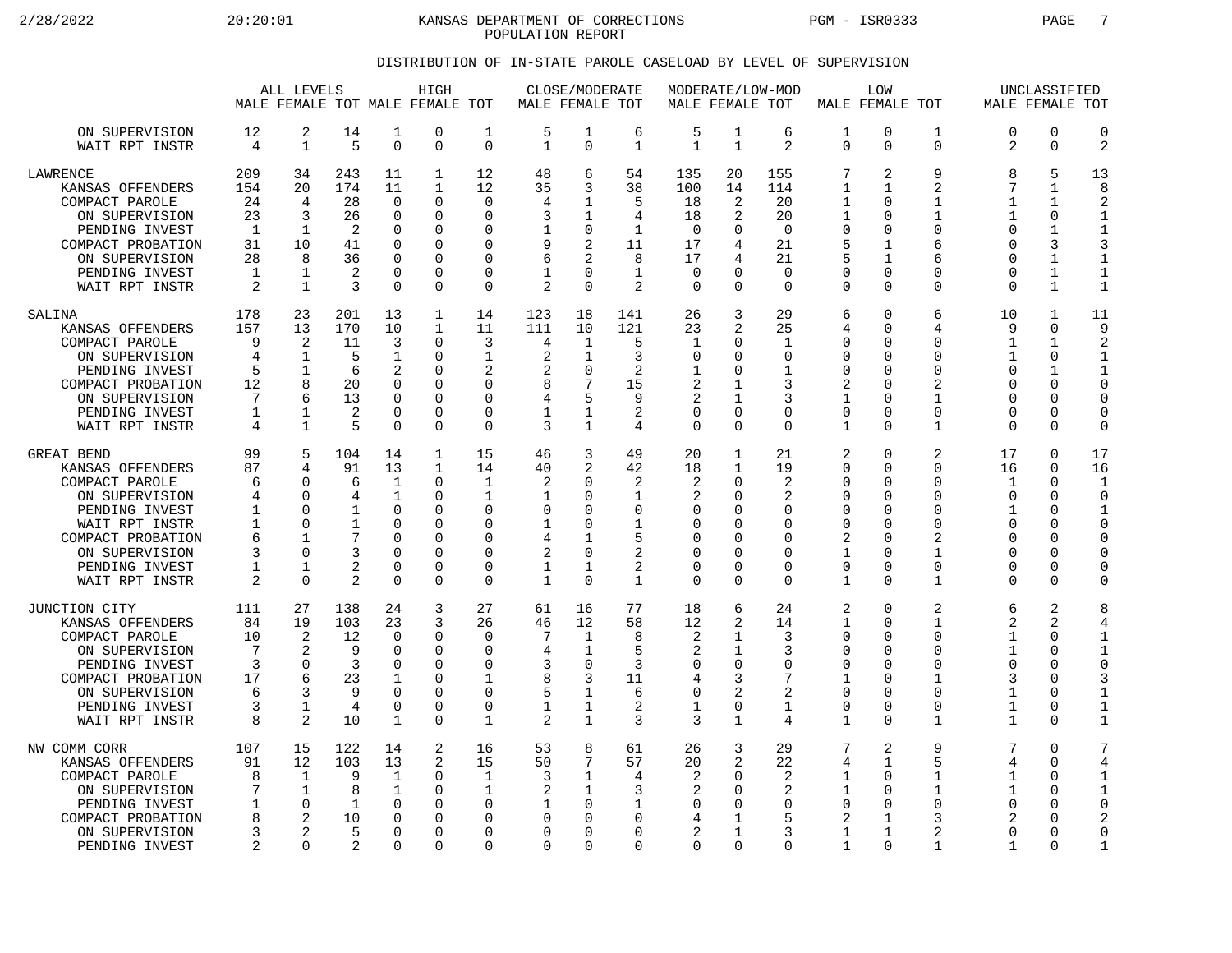2/28/2022 20:20:01 KANSAS DEPARTMENT OF CORRECTIONS PGM - ISR0333 PAGE 7 POPULATION REPORT

### DISTRIBUTION OF IN-STATE PAROLE CASELOAD BY LEVEL OF SUPERVISION

|                                                                                                                                                                                   |                                                   | ALL LEVELS<br>MALE FEMALE TOT MALE FEMALE TOT                                           |                                                                          |                                                                                                          | HIGH                                                                                     |                                                                                                    | MALE FEMALE TOT                                                                 | CLOSE/MODERATE                                                                                        |                                                                        | MALE FEMALE TOT                                          |                                                                                                        | MODERATE/LOW-MOD                                                         | MALE FEMALE TOT                                                                                          | <b>LOW</b>                                                     |                                                                                                          | MALE FEMALE TOT                                                           | UNCLASSIFIED                                                                                    |                                                                                                               |
|-----------------------------------------------------------------------------------------------------------------------------------------------------------------------------------|---------------------------------------------------|-----------------------------------------------------------------------------------------|--------------------------------------------------------------------------|----------------------------------------------------------------------------------------------------------|------------------------------------------------------------------------------------------|----------------------------------------------------------------------------------------------------|---------------------------------------------------------------------------------|-------------------------------------------------------------------------------------------------------|------------------------------------------------------------------------|----------------------------------------------------------|--------------------------------------------------------------------------------------------------------|--------------------------------------------------------------------------|----------------------------------------------------------------------------------------------------------|----------------------------------------------------------------|----------------------------------------------------------------------------------------------------------|---------------------------------------------------------------------------|-------------------------------------------------------------------------------------------------|---------------------------------------------------------------------------------------------------------------|
| ON SUPERVISION<br>WAIT RPT INSTR                                                                                                                                                  | 12<br>4                                           | 2<br>$\mathbf 1$                                                                        | 14<br>5                                                                  | 1<br>$\mathbf 0$                                                                                         | 0<br>0                                                                                   | 1<br>$\Omega$                                                                                      | 5<br>$\mathbf{1}$                                                               | 1<br>$\Omega$                                                                                         | 6<br>$\mathbf{1}$                                                      | 5<br>$\mathbf{1}$                                        | $\mathbf 1$<br>$\mathbf{1}$                                                                            | 6<br>2                                                                   | 1<br>$\Omega$                                                                                            | 0<br>0                                                         | $\mathbf 1$<br>$\Omega$                                                                                  | 0<br>2                                                                    | $\mathbf 0$<br>$\Omega$                                                                         | $\mathbf 0$<br>$\overline{c}$                                                                                 |
| LAWRENCE<br>KANSAS OFFENDERS<br>COMPACT PAROLE<br>ON SUPERVISION<br>PENDING INVEST<br>COMPACT PROBATION<br>ON SUPERVISION<br>PENDING INVEST<br>WAIT RPT INSTR                     | 209<br>154<br>24<br>23<br>1<br>31<br>28<br>1<br>2 | 34<br>20<br>4<br>3<br>-1<br>10<br>8<br>1<br>$\mathbf{1}$                                | 243<br>174<br>28<br>26<br>$\overline{2}$<br>41<br>36<br>2<br>3           | 11<br>11<br>$\Omega$<br>$\mathbf 0$<br>$\Omega$<br>$\Omega$<br>$\mathbf 0$<br>$\Omega$<br>$\Omega$       | $\mathbf{1}$<br>$\mathbf{1}$<br>$\Omega$<br>O<br>0<br>O<br>0<br>0<br>0                   | 12<br>12<br>$\Omega$<br>$\mathbf 0$<br>$\Omega$<br>$\Omega$<br>$\Omega$<br>$\Omega$<br>$\mathbf 0$ | 48<br>35<br>4<br>3<br>9<br>6<br>1<br>$\overline{2}$                             | 6<br>3<br>1<br>1<br>$\mathbf 0$<br>2<br>$\overline{2}$<br>$\Omega$<br>$\Omega$                        | 54<br>38<br>5<br>4<br>$\mathbf{1}$<br>11<br>8<br>$\mathbf{1}$<br>2     | 135<br>100<br>18<br>18<br>$\Omega$<br>17<br>17<br>0<br>0 | 20<br>14<br>2<br>2<br><sup>0</sup><br>4<br>4<br>$\Omega$                                               | 155<br>114<br>20<br>20<br>$\Omega$<br>21<br>21<br>$\Omega$<br>$\Omega$   | 7<br>$\mathbf{1}$<br>1<br>1<br>$\mathbf 0$<br>5<br>5<br>$\mathbf 0$<br>$\mathbf 0$                       | 2<br>1<br>U<br>0<br>$\Omega$<br>1<br>1<br>$\Omega$<br>$\Omega$ | 9<br>$\overline{2}$<br>1<br>$\mathbf{1}$<br>$\mathbf 0$<br>6<br>6<br>$\Omega$<br>$\mathbf 0$             | 8<br>7<br>1<br>1<br>$\Omega$<br>U<br>0<br>0<br>$\Omega$                   | 5<br>1<br>1<br>0<br>$\mathbf{1}$<br>3<br>$\mathbf{1}$<br>1<br>$\mathbf{1}$                      | 13<br>8<br>$\overline{2}$<br>$\mathbf 1$<br>$\mathbf{1}$<br>3<br>$\mathbf{1}$<br>$\mathbf{1}$<br>$\mathbf{1}$ |
| SALINA<br>KANSAS OFFENDERS<br>COMPACT PAROLE<br>ON SUPERVISION<br>PENDING INVEST<br>COMPACT PROBATION<br>ON SUPERVISION<br>PENDING INVEST<br>WAIT RPT INSTR                       | 178<br>157<br>9<br>4<br>5<br>12<br>7<br>1<br>4    | 23<br>13<br>2<br>$\mathbf 1$<br>$\mathbf{1}$<br>8<br>6<br>1<br>$\mathbf{1}$             | 201<br>170<br>11<br>5<br>6<br>20<br>13<br>2<br>5                         | 13<br>10<br>3<br>$\mathbf 1$<br>2<br>$\Omega$<br>$\Omega$<br>$\mathbf 0$<br>$\Omega$                     | $\mathbf{1}$<br>1<br>0<br>0<br>O<br>0<br>O<br>0<br>0                                     | 14<br>11<br>3<br>1<br>2<br>$\Omega$<br>$\Omega$<br>$\mathbf 0$<br>$\Omega$                         | 123<br>111<br>4<br>$\overline{2}$<br>2<br>8<br>4<br>1<br>3                      | 18<br>10<br>1<br>1<br>$\Omega$<br>7<br>5<br>1<br>1                                                    | 141<br>121<br>5<br>3<br>2<br>15<br>9<br>2<br>4                         | 26<br>23<br>1<br>0<br>1<br>2<br>2<br>0<br>0              | 3<br>2<br><sup>0</sup><br><sup>0</sup><br><sup>0</sup><br>$\Omega$<br>$\Omega$                         | 29<br>25<br>1<br>$\mathbf 0$<br>1<br>3<br>3<br>0<br>$\Omega$             | 6<br>4<br>$\mathbf 0$<br>$\mathbf 0$<br>$\mathbf 0$<br>2<br>$\mathbf{1}$<br>$\mathbf 0$<br>$\mathbf{1}$  | 0<br>$\Omega$<br>$\Omega$<br>0<br>U<br>U<br>$\Omega$<br>0<br>0 | 6<br>4<br>0<br>$\Omega$<br>$\Omega$<br>2<br>1<br>$\mathbf 0$<br>1                                        | 10<br>9<br>1<br>1<br>$\Omega$<br>0<br>$\Omega$<br>0<br>0                  | 1<br>$\Omega$<br>1<br>$\mathbf 0$<br>1<br>$\Omega$<br>$\Omega$<br>0<br>$\Omega$                 | 11<br>9<br>2<br>$\mathbf{1}$<br>$\mathbf 1$<br>$\overline{0}$<br>C<br>0<br>$\mathbf 0$                        |
| GREAT BEND<br>KANSAS OFFENDERS<br>COMPACT PAROLE<br>ON SUPERVISION<br>PENDING INVEST<br>WAIT RPT INSTR<br>COMPACT PROBATION<br>ON SUPERVISION<br>PENDING INVEST<br>WAIT RPT INSTR | 99<br>87<br>6<br>4<br>1<br>1<br>6<br>3<br>1<br>2  | 5<br>$\overline{4}$<br>∩<br>$\Omega$<br>$\Omega$<br>∩<br>1<br>∩<br>1<br>$\Omega$        | 104<br>91<br>6<br>4<br>$\mathbf 1$<br>1<br>7<br>3<br>2<br>$\overline{2}$ | 14<br>13<br>$\mathbf 1$<br>1<br>$\Omega$<br>$\cap$<br>$\mathbf 0$<br>$\Omega$<br>$\mathbf 0$<br>$\Omega$ | $\mathbf 1$<br>$\mathbf{1}$<br>$\Omega$<br>0<br>0<br>O<br>0<br>O<br>$\Omega$<br>$\Omega$ | 15<br>14<br>$\mathbf{1}$<br>$\mathbf{1}$<br>$\Omega$<br>$\Omega$<br>0<br>$\Omega$<br>0<br>$\Omega$ | 46<br>40<br>$\overline{2}$<br>1<br>$\Omega$<br>1<br>4<br>2<br>1<br>$\mathbf{1}$ | 3<br>$\overline{2}$<br>$\Omega$<br>$\Omega$<br>$\Omega$<br>$\Omega$<br>1<br>$\Omega$<br>1<br>$\Omega$ | 49<br>42<br>2<br>$\mathbf{1}$<br>0<br>1<br>5<br>2<br>2<br>$\mathbf{1}$ | 20<br>18<br>2<br>2<br>0<br>0<br>0<br>0<br>0<br>0         | 1<br>$\mathbf{1}$<br><sup>0</sup><br>$\Omega$<br>O<br><sup>0</sup><br>$\Omega$<br>$\Omega$<br>$\Omega$ | 21<br>19<br>2<br>2<br>$\mathbf 0$<br>$\Omega$<br>0<br>0<br>0<br>$\Omega$ | 2<br>$\mathbf 0$<br>$\mathbf 0$<br>0<br>$\mathbf 0$<br>$\Omega$<br>2<br>1<br>$\mathbf 0$<br>$\mathbf{1}$ | 0<br>0<br>0<br>$\Omega$<br>0<br>U<br>0<br>U<br>0<br>$\Omega$   | 2<br>$\mathbf 0$<br>$\Omega$<br>$\Omega$<br>$\Omega$<br>$\Omega$<br>2<br>1<br>0<br>$\mathbf{1}$          | 17<br>16<br>1<br>0<br>$\mathbf{1}$<br>$\Omega$<br>0<br>O<br>0<br>$\Omega$ | 0<br>0<br>$\Omega$<br>$\Omega$<br>$\Omega$<br>$\Omega$<br>$\Omega$<br>$\Omega$<br>0<br>$\Omega$ | 17<br>16<br>$\mathbf{1}$<br>$\Omega$<br>$\mathbf{1}$<br>C<br>$\Omega$<br>$\Omega$<br>0<br>$\Omega$            |
| JUNCTION CITY<br>KANSAS OFFENDERS<br>COMPACT PAROLE<br>ON SUPERVISION<br>PENDING INVEST<br>COMPACT PROBATION<br>ON SUPERVISION<br>PENDING INVEST<br>WAIT RPT INSTR                | 111<br>84<br>10<br>7<br>3<br>17<br>6<br>3<br>8    | 27<br>19<br>$\overline{2}$<br>2<br>$\Omega$<br>6<br>3<br>$\mathbf{1}$<br>$\overline{2}$ | 138<br>103<br>12<br>9<br>3<br>23<br>9<br>4<br>10                         | 24<br>23<br>$\Omega$<br>$\Omega$<br>$\Omega$<br>1<br>$\mathbf 0$<br>$\Omega$<br>1                        | 3<br>3<br>0<br>$\Omega$<br>0<br>0<br>0<br>O<br>0                                         | 27<br>26<br>$\Omega$<br>$\Omega$<br>$\Omega$<br>1<br>0<br>$\Omega$<br>1                            | 61<br>46<br>7<br>4<br>3<br>8<br>5<br>1<br>$\mathfrak{D}$                        | 16<br>12<br>1<br>1<br>$\mathbf 0$<br>3<br>1<br>1<br>$\mathbf{1}$                                      | 77<br>58<br>8<br>5<br>3<br>11<br>6<br>2<br>3                           | 18<br>12<br>2<br>2<br>0<br>4<br>0<br>1<br>3              | 6<br>2<br>1<br>1<br>$\Omega$<br>3<br>2<br>$\Omega$<br>$\mathbf{1}$                                     | 24<br>14<br>3<br>3<br>0<br>7<br>2<br>1<br>4                              | 2<br>$\mathbf 1$<br>$\mathbf 0$<br>$\mathbf 0$<br>$\mathbf 0$<br>1<br>$\mathbf 0$<br>$\mathbf 0$<br>1    | 0<br>$\Omega$<br>0<br>U<br>0<br>U<br>0<br>0<br>$\Omega$        | 2<br>$\mathbf{1}$<br>$\mathbf 0$<br>$\Omega$<br>$\Omega$<br>1<br>$\mathbf 0$<br>$\Omega$<br>$\mathbf{1}$ | 6<br>2<br>1<br>$\mathbf{1}$<br>0<br>3<br>1<br>1<br>$\mathbf{1}$           | 2<br>2<br>$\Omega$<br>$\Omega$<br>$\Omega$<br>$\Omega$<br>0<br>$\Omega$<br>$\Omega$             | 8<br>4<br>$\mathbf{1}$<br>$\mathbf{1}$<br>$\mathbf 0$<br>3<br>$\mathbf{1}$<br>$\mathbf{1}$<br>$\mathbf{1}$    |
| NW COMM CORR<br>KANSAS OFFENDERS<br>COMPACT PAROLE<br>ON SUPERVISION<br>PENDING INVEST<br>COMPACT PROBATION<br>ON SUPERVISION<br>PENDING INVEST                                   | 107<br>91<br>8<br>7<br>1<br>8<br>3<br>2           | 15<br>12<br>1<br>$\mathbf{1}$<br>$\Omega$<br>2<br>2<br>$\Omega$                         | 122<br>103<br>9<br>8<br>1<br>10<br>5<br>2                                | 14<br>13<br>1<br>$\mathbf 1$<br>$\Omega$<br>$\mathbf 0$<br>$\Omega$<br>$\Omega$                          | 2<br>2<br>0<br>0<br>$\Omega$<br>O<br>O<br>U                                              | 16<br>15<br>1<br><sup>0</sup><br>0<br>$\Omega$<br>$\Omega$                                         | 53<br>50<br>3<br>2<br>1<br>$\Omega$<br>O<br>$\Omega$                            | 8<br>7<br>1<br>1<br>$\Omega$<br>$\Omega$<br>$\Omega$<br>$\Omega$                                      | 61<br>57<br>4<br>3<br>1<br>0<br>0<br>$\Omega$                          | 26<br>20<br>2<br>2<br>0<br>4<br>$\overline{a}$<br>0      | 3<br>2<br><sup>0</sup><br>$\Omega$<br><sup>0</sup><br>1<br>0                                           | 29<br>22<br>2<br>2<br>$\Omega$<br>5<br>3<br>$\Omega$                     | 7<br>4<br>1<br>1<br>0<br>2<br>1<br>1                                                                     | 2<br>1<br>$\Omega$<br>0<br>$\Omega$<br>1<br>1<br>$\Omega$      | 9<br>5<br>1<br>$\mathbf{1}$<br>$\Omega$<br>3<br>$\overline{2}$<br>1                                      | 7<br>4<br>1<br>$\mathbf{1}$<br>$\Omega$<br>2<br>$\Omega$<br>$\mathbf{1}$  | $\Omega$<br>$\Omega$<br>$\Omega$<br>$\Omega$<br>O<br>$\Omega$<br>$\Omega$<br>∩                  | 7<br>4<br>1<br>$\mathbf{1}$<br>C<br>$\overline{2}$<br>$\overline{0}$<br>$\mathbf{1}$                          |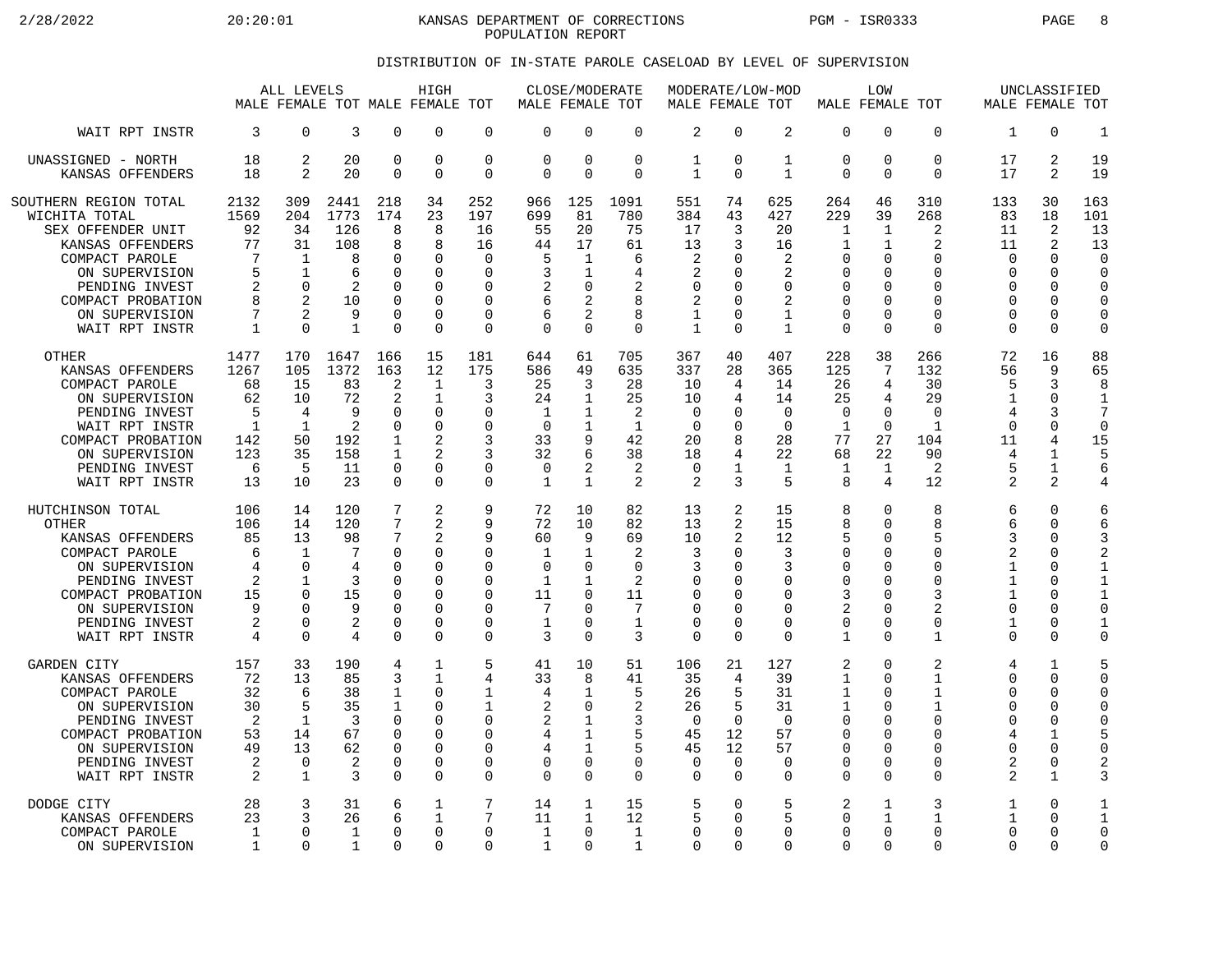2/28/2022 20:20:01 KANSAS DEPARTMENT OF CORRECTIONS PGM - ISR0333 PAGE 8 POPULATION REPORT

### DISTRIBUTION OF IN-STATE PAROLE CASELOAD BY LEVEL OF SUPERVISION

|                                                                                                                                                                                                | ALL LEVELS<br>MALE FEMALE TOT MALE FEMALE TOT                     |                                                                              |                                                                      |                                                                                       | HIGH                                                                                          |                                                                                                         | MALE FEMALE TOT                                             | CLOSE/MODERATE                                                                                        |                                                                           | MALE FEMALE TOT                                                 |                                                               | MODERATE/LOW-MOD                                                                  | MALE FEMALE TOT                                                                            | LOW                                              |                                                                                       |                                                                          | UNCLASSIFIED                                                                               | MALE FEMALE TOT                                                                                            |
|------------------------------------------------------------------------------------------------------------------------------------------------------------------------------------------------|-------------------------------------------------------------------|------------------------------------------------------------------------------|----------------------------------------------------------------------|---------------------------------------------------------------------------------------|-----------------------------------------------------------------------------------------------|---------------------------------------------------------------------------------------------------------|-------------------------------------------------------------|-------------------------------------------------------------------------------------------------------|---------------------------------------------------------------------------|-----------------------------------------------------------------|---------------------------------------------------------------|-----------------------------------------------------------------------------------|--------------------------------------------------------------------------------------------|--------------------------------------------------|---------------------------------------------------------------------------------------|--------------------------------------------------------------------------|--------------------------------------------------------------------------------------------|------------------------------------------------------------------------------------------------------------|
| WAIT RPT INSTR                                                                                                                                                                                 | 3                                                                 | $\Omega$                                                                     | 3                                                                    | $\Omega$                                                                              | $\Omega$                                                                                      | $\mathbf 0$                                                                                             | $\Omega$                                                    | $\Omega$                                                                                              | $\Omega$                                                                  | $\overline{2}$                                                  | $\Omega$                                                      | 2                                                                                 | $\mathbf 0$                                                                                | 0                                                | $\Omega$                                                                              | 1                                                                        | $\Omega$                                                                                   | $\mathbf{1}$                                                                                               |
| UNASSIGNED - NORTH                                                                                                                                                                             | 18                                                                | 2                                                                            | 20                                                                   | $\mathbf 0$                                                                           | $\mathbf 0$                                                                                   | $\mathbf 0$                                                                                             | $\Omega$                                                    | $\mathbf 0$                                                                                           | $\mathbf 0$                                                               | $\mathbf 1$                                                     | $\Omega$                                                      | $\mathbf{1}$                                                                      | $\mathbf 0$                                                                                | 0                                                | $\mathbf 0$                                                                           | 17                                                                       | 2                                                                                          | 19                                                                                                         |
| KANSAS OFFENDERS                                                                                                                                                                               | 18                                                                | $\overline{2}$                                                               | 20                                                                   | $\Omega$                                                                              | $\Omega$                                                                                      | $\mathbf 0$                                                                                             | $\Omega$                                                    | $\Omega$                                                                                              | $\Omega$                                                                  | 1                                                               | $\Omega$                                                      | $\mathbf{1}$                                                                      | $\Omega$                                                                                   | 0                                                | $\Omega$                                                                              | 17                                                                       | 2                                                                                          | 19                                                                                                         |
| SOUTHERN REGION TOTAL<br>WICHITA TOTAL<br>SEX OFFENDER UNIT<br>KANSAS OFFENDERS<br>COMPACT PAROLE<br>ON SUPERVISION<br>PENDING INVEST<br>COMPACT PROBATION<br>ON SUPERVISION<br>WAIT RPT INSTR | 2132<br>1569<br>92<br>77<br>7<br>5<br>2<br>8<br>7<br>$\mathbf{1}$ | 309<br>204<br>34<br>31<br>$\mathbf 1$<br>1<br>$\Omega$<br>2<br>2<br>$\Omega$ | 2441<br>1773<br>126<br>108<br>8<br>6<br>2<br>10<br>9<br>$\mathbf{1}$ | 218<br>174<br>8<br>8<br>0<br>$\Omega$<br>$\Omega$<br>$\Omega$<br>$\Omega$<br>$\Omega$ | 34<br>23<br>8<br>8<br>$\mathbf 0$<br>$\Omega$<br>$\Omega$<br>$\Omega$<br>$\Omega$<br>$\Omega$ | 252<br>197<br>16<br>16<br>$\mathbf 0$<br>$\Omega$<br>$\Omega$<br>$\Omega$<br>$\mathbf 0$<br>$\mathbf 0$ | 966<br>699<br>55<br>44<br>5<br>3<br>2<br>6<br>6<br>$\Omega$ | 125<br>81<br>20<br>17<br>$\mathbf 1$<br>1<br>$\Omega$<br>$\overline{2}$<br>$\overline{2}$<br>$\Omega$ | 1091<br>780<br>75<br>61<br>6<br>4<br>$\overline{2}$<br>8<br>8<br>$\Omega$ | 551<br>384<br>17<br>13<br>2<br>2<br>0<br>2<br>1<br>$\mathbf{1}$ | 74<br>43<br>3<br>3<br><sup>0</sup><br>∩<br>$\Omega$<br>∩<br>∩ | 625<br>427<br>20<br>16<br>2<br>2<br>$\Omega$<br>2<br>$\mathbf{1}$<br>$\mathbf{1}$ | 264<br>229<br>1<br>1<br>$\mathbf 0$<br>0<br>$\mathbf 0$<br>0<br>$\mathbf 0$<br>$\mathbf 0$ | 46<br>39<br>1<br>1<br>0<br>U<br>O<br>0<br>O<br>0 | 310<br>268<br>2<br>2<br>$\Omega$<br>U<br>$\Omega$<br>$\Omega$<br>$\Omega$<br>$\Omega$ | 133<br>83<br>11<br>11<br>$\Omega$<br>O<br>$\Omega$<br>O<br>0<br>$\Omega$ | 30<br>18<br>2<br>2<br>$\Omega$<br>$\Omega$<br>$\Omega$<br>$\Omega$<br>$\Omega$<br>$\Omega$ | 163<br>101<br>13<br>13<br>$\mathbf 0$<br>$\Omega$<br>$\Omega$<br>$\mathbf 0$<br>$\mathbf 0$<br>$\mathbf 0$ |
| <b>OTHER</b>                                                                                                                                                                                   | 1477                                                              | 170                                                                          | 1647                                                                 | 166                                                                                   | 15                                                                                            | 181                                                                                                     | 644                                                         | 61                                                                                                    | 705                                                                       | 367                                                             | 40                                                            | 407                                                                               | 228                                                                                        | 38                                               | 266                                                                                   | 72                                                                       | 16                                                                                         | 88                                                                                                         |
| KANSAS OFFENDERS                                                                                                                                                                               | 1267                                                              | 105                                                                          | 1372                                                                 | 163                                                                                   | 12                                                                                            | 175                                                                                                     | 586                                                         | 49                                                                                                    | 635                                                                       | 337                                                             | 28                                                            | 365                                                                               | 125                                                                                        | 7                                                | 132                                                                                   | 56                                                                       | 9                                                                                          | 65                                                                                                         |
| COMPACT PAROLE                                                                                                                                                                                 | 68                                                                | 15                                                                           | 83                                                                   | 2                                                                                     | $\mathbf{1}$                                                                                  | 3                                                                                                       | 25                                                          | 3                                                                                                     | 28                                                                        | 10                                                              | 4                                                             | 14                                                                                | 26                                                                                         | 4                                                | 30                                                                                    | 5                                                                        | 3                                                                                          | 8                                                                                                          |
| ON SUPERVISION                                                                                                                                                                                 | 62                                                                | 10                                                                           | 72                                                                   | 2                                                                                     | $\mathbf{1}$                                                                                  | 3                                                                                                       | 24                                                          | 1                                                                                                     | 25                                                                        | 10                                                              | 4                                                             | 14                                                                                | 25                                                                                         | 4                                                | 29                                                                                    | 1                                                                        | $\mathbf 0$                                                                                | $\mathbf{1}$                                                                                               |
| PENDING INVEST                                                                                                                                                                                 | 5                                                                 | 4                                                                            | 9                                                                    | $\Omega$                                                                              | $\mathbf 0$                                                                                   | $\Omega$                                                                                                | $\mathbf 1$                                                 | $\mathbf 1$                                                                                           | $\overline{2}$                                                            | $\mathbf 0$                                                     | <sup>0</sup>                                                  | $\Omega$                                                                          | $\mathbf 0$                                                                                | 0                                                | $\Omega$                                                                              | $\overline{4}$                                                           | 3                                                                                          | $\overline{7}$                                                                                             |
| WAIT RPT INSTR                                                                                                                                                                                 | $\mathbf{1}$                                                      | 1                                                                            | 2                                                                    | $\Omega$                                                                              | $\Omega$                                                                                      | $\Omega$                                                                                                | $\Omega$                                                    | 1                                                                                                     | $\mathbf{1}$                                                              | $\Omega$                                                        | ∩                                                             | $\Omega$                                                                          | $\mathbf{1}$                                                                               | $\Omega$                                         | $\mathbf{1}$                                                                          | $\Omega$                                                                 | $\Omega$                                                                                   | $\Omega$                                                                                                   |
| COMPACT PROBATION                                                                                                                                                                              | 142                                                               | 50                                                                           | 192                                                                  | $\mathbf{1}$                                                                          | $\overline{a}$                                                                                | 3                                                                                                       | 33                                                          | 9                                                                                                     | 42                                                                        | 20                                                              | 8                                                             | 28                                                                                | 77                                                                                         | 27                                               | 104                                                                                   | 11                                                                       | 4                                                                                          | 15                                                                                                         |
| ON SUPERVISION                                                                                                                                                                                 | 123                                                               | 35                                                                           | 158                                                                  | 1                                                                                     | $\mathfrak{D}$                                                                                | 3                                                                                                       | 32                                                          | 6                                                                                                     | 38                                                                        | 18                                                              | 4                                                             | 22                                                                                | 68                                                                                         | 22                                               | 90                                                                                    | 4                                                                        | $\mathbf{1}$                                                                               | 5                                                                                                          |
| PENDING INVEST                                                                                                                                                                                 | 6                                                                 | 5                                                                            | 11                                                                   | $\Omega$                                                                              | $\Omega$                                                                                      | 0                                                                                                       | $\Omega$                                                    | 2                                                                                                     | 2                                                                         | 0                                                               | 1                                                             | 1                                                                                 | 1                                                                                          | $\mathbf 1$                                      | 2                                                                                     | 5                                                                        | $\mathbf{1}$                                                                               | 6                                                                                                          |
| WAIT RPT INSTR                                                                                                                                                                                 | 13                                                                | 10                                                                           | 23                                                                   | $\Omega$                                                                              | $\Omega$                                                                                      | $\Omega$                                                                                                | 1                                                           | $\mathbf{1}$                                                                                          | $\mathfrak{D}$                                                            | 2                                                               | 3                                                             | 5                                                                                 | 8                                                                                          | 4                                                | 12                                                                                    | 2                                                                        | $\mathfrak{D}$                                                                             | 4                                                                                                          |
| HUTCHINSON TOTAL                                                                                                                                                                               | 106                                                               | 14                                                                           | 120                                                                  | 7                                                                                     | 2                                                                                             | 9                                                                                                       | 72                                                          | 10                                                                                                    | 82                                                                        | 13                                                              | 2                                                             | 15                                                                                | 8                                                                                          | 0                                                | 8                                                                                     | 6                                                                        | $\Omega$                                                                                   | 6                                                                                                          |
| <b>OTHER</b>                                                                                                                                                                                   | 106                                                               | 14                                                                           | 120                                                                  | 7                                                                                     | $\overline{a}$                                                                                | 9                                                                                                       | 72                                                          | 10                                                                                                    | 82                                                                        | 13                                                              | 2                                                             | 15                                                                                | 8                                                                                          | 0                                                | 8                                                                                     | 6                                                                        | $\Omega$                                                                                   | 6                                                                                                          |
| KANSAS OFFENDERS                                                                                                                                                                               | 85                                                                | 13                                                                           | 98                                                                   | 7                                                                                     | 2                                                                                             | 9                                                                                                       | 60                                                          | 9                                                                                                     | 69                                                                        | 10                                                              | 2                                                             | 12                                                                                | 5                                                                                          | 0                                                | 5                                                                                     | 3                                                                        | $\Omega$                                                                                   | 3                                                                                                          |
| COMPACT PAROLE                                                                                                                                                                                 | 6                                                                 | $\mathbf 1$                                                                  | 7                                                                    | $\mathbf 0$                                                                           | $\mathbf 0$                                                                                   | 0                                                                                                       | $\mathbf{1}$                                                | $\mathbf{1}$                                                                                          | 2                                                                         | 3                                                               | ∩                                                             | 3                                                                                 | $\mathbf 0$                                                                                | 0                                                | $\Omega$                                                                              | 2                                                                        | 0                                                                                          | $\overline{2}$                                                                                             |
| ON SUPERVISION                                                                                                                                                                                 | 4                                                                 | $\Omega$                                                                     | 4                                                                    | $\Omega$                                                                              | $\Omega$                                                                                      | $\Omega$                                                                                                | $\Omega$                                                    | $\Omega$                                                                                              | $\Omega$                                                                  | 3                                                               | <sup>0</sup>                                                  | 3                                                                                 | 0                                                                                          | O                                                | $\Omega$                                                                              | 1                                                                        | $\Omega$                                                                                   | $\mathbf{1}$                                                                                               |
| PENDING INVEST                                                                                                                                                                                 | 2                                                                 | 1                                                                            | 3                                                                    | 0                                                                                     | $\Omega$                                                                                      | 0                                                                                                       | 1                                                           | 1                                                                                                     | 2                                                                         | 0                                                               | ∩                                                             | 0                                                                                 | $\mathbf 0$                                                                                | 0                                                | $\Omega$                                                                              | 1                                                                        | 0                                                                                          | $\mathbf{1}$                                                                                               |
| COMPACT PROBATION                                                                                                                                                                              | 15                                                                | $\Omega$                                                                     | 15                                                                   | $\Omega$                                                                              | $\Omega$                                                                                      | $\Omega$                                                                                                | 11                                                          | $\Omega$                                                                                              | 11                                                                        | $\Omega$                                                        | <sup>0</sup>                                                  | $\Omega$                                                                          | 3                                                                                          | 0                                                | 3                                                                                     | $\mathbf{1}$                                                             | $\Omega$                                                                                   | $\mathbf{1}$                                                                                               |
| ON SUPERVISION                                                                                                                                                                                 | 9                                                                 | U                                                                            | 9                                                                    | $\Omega$                                                                              | $\Omega$                                                                                      | $\Omega$                                                                                                | 7                                                           | $\Omega$                                                                                              | 7                                                                         | $\Omega$                                                        | ∩                                                             | $\Omega$                                                                          | $\overline{a}$                                                                             | 0                                                | $\overline{2}$                                                                        | $\Omega$                                                                 | $\Omega$                                                                                   | $\Omega$                                                                                                   |
| PENDING INVEST                                                                                                                                                                                 | 2                                                                 | 0                                                                            | 2                                                                    | $\mathbf 0$                                                                           | $\mathbf 0$                                                                                   | 0                                                                                                       | 1                                                           | $\Omega$                                                                                              | $\mathbf{1}$                                                              | 0                                                               | $\Omega$                                                      | $\mathbf 0$                                                                       | $\mathbf 0$                                                                                | 0                                                | $\mathbf 0$                                                                           | $\mathbf{1}$                                                             | 0                                                                                          | 1                                                                                                          |
| WAIT RPT INSTR                                                                                                                                                                                 | $\overline{4}$                                                    | $\Omega$                                                                     | 4                                                                    | $\Omega$                                                                              | $\Omega$                                                                                      | $\Omega$                                                                                                | 3                                                           | $\Omega$                                                                                              | 3                                                                         | $\Omega$                                                        | $\Omega$                                                      | $\Omega$                                                                          | $\mathbf{1}$                                                                               | 0                                                | $\mathbf{1}$                                                                          | $\Omega$                                                                 | $\Omega$                                                                                   | $\mathbf 0$                                                                                                |
| <b>GARDEN CITY</b>                                                                                                                                                                             | 157                                                               | 33                                                                           | 190                                                                  | 4                                                                                     | $\mathbf{1}$                                                                                  | 5                                                                                                       | 41                                                          | 10                                                                                                    | 51                                                                        | 106                                                             | 21                                                            | 127                                                                               | 2                                                                                          | 0                                                | 2                                                                                     | 4                                                                        | $\mathbf{1}$                                                                               | 5                                                                                                          |
| KANSAS OFFENDERS                                                                                                                                                                               | 72                                                                | 13                                                                           | 85                                                                   | 3                                                                                     | $\mathbf{1}$                                                                                  | 4                                                                                                       | 33                                                          | 8                                                                                                     | 41                                                                        | 35                                                              | 4                                                             | 39                                                                                | 1                                                                                          | 0                                                | 1                                                                                     | 0                                                                        | $\Omega$                                                                                   | $\mathbf 0$                                                                                                |
| COMPACT PAROLE                                                                                                                                                                                 | 32                                                                | 6                                                                            | 38                                                                   | 1                                                                                     | $\Omega$                                                                                      | 1                                                                                                       | 4                                                           | $\mathbf{1}$                                                                                          | 5                                                                         | 26                                                              | 5                                                             | 31                                                                                | 1                                                                                          | 0                                                | 1                                                                                     | <sup>0</sup>                                                             | $\Omega$                                                                                   | $\mathbf 0$                                                                                                |
| ON SUPERVISION                                                                                                                                                                                 | 30                                                                | 5                                                                            | 35                                                                   | 1                                                                                     | $\mathbf 0$                                                                                   | 1                                                                                                       | $\overline{2}$                                              | $\mathbf 0$                                                                                           | $\overline{2}$                                                            | 26                                                              | 5                                                             | 31                                                                                | $\mathbf{1}$                                                                               | 0                                                | 1                                                                                     | $\Omega$                                                                 | 0                                                                                          | $\mathbf 0$                                                                                                |
| PENDING INVEST                                                                                                                                                                                 | 2                                                                 | 1                                                                            | 3                                                                    | $\Omega$                                                                              | $\Omega$                                                                                      | 0                                                                                                       | $\overline{2}$                                              | 1                                                                                                     | 3                                                                         | $\Omega$                                                        | $\Omega$                                                      | $\Omega$                                                                          | $\mathbf 0$                                                                                | 0                                                | $\Omega$                                                                              | O                                                                        | 0                                                                                          | $\mathbf 0$                                                                                                |
| COMPACT PROBATION                                                                                                                                                                              | 53                                                                | 14                                                                           | 67                                                                   | $\mathbf 0$                                                                           | $\mathbf 0$                                                                                   | $\mathbf 0$                                                                                             | 4                                                           | $\mathbf{1}$                                                                                          | 5                                                                         | 45                                                              | 12                                                            | 57                                                                                | $\mathbf 0$                                                                                | 0                                                | $\Omega$                                                                              | 4                                                                        | $\mathbf{1}$                                                                               | 5                                                                                                          |
| ON SUPERVISION                                                                                                                                                                                 | 49                                                                | 13                                                                           | 62                                                                   | $\Omega$                                                                              | $\Omega$                                                                                      | $\Omega$                                                                                                | 4                                                           | $\mathbf{1}$                                                                                          | 5                                                                         | 45                                                              | 12                                                            | 57                                                                                | $\mathbf 0$                                                                                | 0                                                | $\Omega$                                                                              | <sup>0</sup>                                                             | $\Omega$                                                                                   | $\mathbf 0$                                                                                                |
| PENDING INVEST                                                                                                                                                                                 | 2                                                                 | 0                                                                            | 2                                                                    | 0                                                                                     | 0                                                                                             | 0                                                                                                       | $\Omega$                                                    | 0                                                                                                     | 0                                                                         | 0                                                               | 0                                                             | 0                                                                                 | $\mathbf 0$                                                                                | 0                                                | 0                                                                                     | 2                                                                        | 0                                                                                          | $\overline{2}$                                                                                             |
| WAIT RPT INSTR                                                                                                                                                                                 | $\overline{2}$                                                    | $\mathbf{1}$                                                                 | 3                                                                    | $\Omega$                                                                              | $\Omega$                                                                                      | $\Omega$                                                                                                | $\Omega$                                                    | $\Omega$                                                                                              | $\Omega$                                                                  | $\Omega$                                                        | $\Omega$                                                      | $\Omega$                                                                          | $\Omega$                                                                                   | 0                                                | $\Omega$                                                                              | $\overline{2}$                                                           | $\mathbf{1}$                                                                               | 3                                                                                                          |
| DODGE CITY                                                                                                                                                                                     | 28                                                                | 3                                                                            | 31                                                                   | 6                                                                                     | 1                                                                                             | 7                                                                                                       | 14                                                          | 1                                                                                                     | 15                                                                        | 5                                                               | 0                                                             | 5                                                                                 | 2                                                                                          | $\mathbf{1}$                                     | 3                                                                                     | $\mathbf 1$                                                              | 0                                                                                          | $\mathbf{1}$                                                                                               |
| KANSAS OFFENDERS                                                                                                                                                                               | 23                                                                | ζ                                                                            | 26                                                                   | 6                                                                                     | $\mathbf{1}$                                                                                  | 7                                                                                                       | 11                                                          | 1                                                                                                     | 12                                                                        | 5                                                               | $\Omega$                                                      | 5                                                                                 | $\Omega$                                                                                   | $\mathbf{1}$                                     | 1                                                                                     | $\mathbf{1}$                                                             | $\Omega$                                                                                   | $\mathbf 1$                                                                                                |
| COMPACT PAROLE                                                                                                                                                                                 | $\mathbf{1}$                                                      | 0                                                                            | $\mathbf{1}$                                                         | $\Omega$                                                                              | $\Omega$                                                                                      | 0                                                                                                       | 1                                                           | $\Omega$                                                                                              | $\mathbf 1$                                                               | 0                                                               | $\Omega$                                                      | $\Omega$                                                                          | $\mathbf 0$                                                                                | 0                                                | $\Omega$                                                                              | $\Omega$                                                                 | $\Omega$                                                                                   | $\mathbf 0$                                                                                                |
| ON SUPERVISION                                                                                                                                                                                 | 1                                                                 | $\Omega$                                                                     | 1                                                                    | $\Omega$                                                                              | $\Omega$                                                                                      | $\Omega$                                                                                                | 1                                                           | $\Omega$                                                                                              | $\mathbf{1}$                                                              | $\Omega$                                                        | $\Omega$                                                      | $\Omega$                                                                          | $\Omega$                                                                                   | 0                                                | $\Omega$                                                                              | <sup>0</sup>                                                             | $\Omega$                                                                                   | $\mathbf 0$                                                                                                |